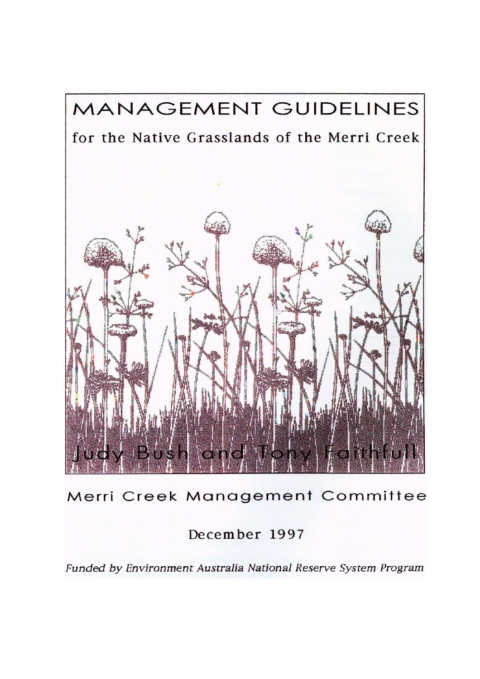

Merri Creek Management Committee

December 1997

Funded by Environment Australia National Reserve System Program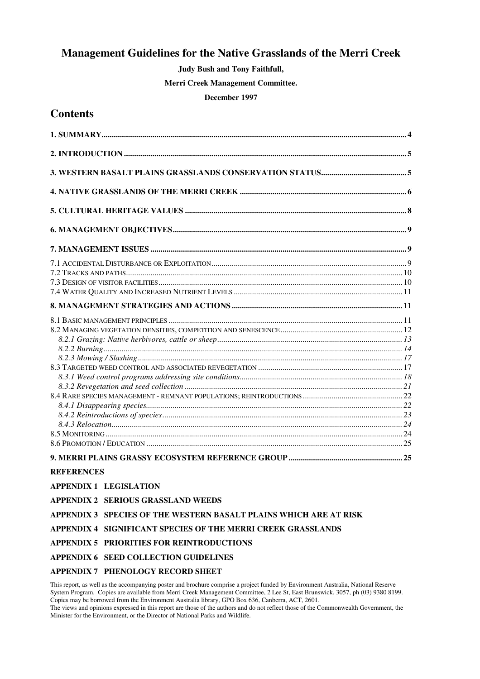### Management Guidelines for the Native Grasslands of the Merri Creek

Judy Bush and Tony Faithfull,

Merri Creek Management Committee.

#### December 1997

### **Contents**

| <b>REFERENCES</b>                         |  |
|-------------------------------------------|--|
| <b>APPENDIX 1 LEGISLATION</b>             |  |
| <b>APPENDIX 2 SERIOUS GRASSLAND WEEDS</b> |  |

APPENDIX 3 SPECIES OF THE WESTERN BASALT PLAINS WHICH ARE AT RISK

#### APPENDIX 4 SIGNIFICANT SPECIES OF THE MERRI CREEK GRASSLANDS

#### APPENDIX 5 PRIORITIES FOR REINTRODUCTIONS

#### APPENDIX 6 SEED COLLECTION GUIDELINES

#### APPENDIX 7 PHENOLOGY RECORD SHEET

This report, as well as the accompanying poster and brochure comprise a project funded by Environment Australia, National Reserve System Program. Copies are available from Merri Creek Management Committee, 2 Lee St, East Brunswick, 3057, ph (03) 9380 8199. Copies may be borrowed from the Environment Australia library, GPO Box 636, Canberra, ACT, 2601.

The views and opinions expressed in this report are those of the authors and do not reflect those of the Commonwealth Government, the Minister for the Environment, or the Director of National Parks and Wildlife.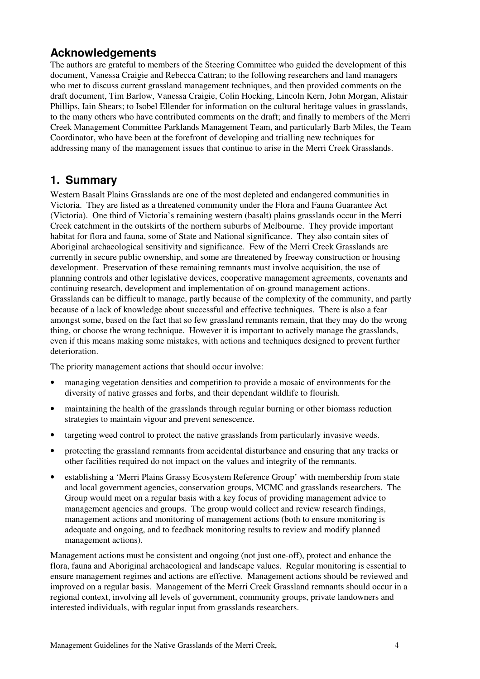## Acknowledgements

The authors are grateful to members of the Steering Committee who guided the development of this document, Vanessa Craigie and Rebecca Cattran; to the following researchers and land managers who met to discuss current grassland management techniques, and then provided comments on the draft document, Tim Barlow, Vanessa Craigie, Colin Hocking, Lincoln Kern, John Morgan, Alistair Phillips, Iain Shears; to Isobel Ellender for information on the cultural heritage values in grasslands, to the many others who have contributed comments on the draft; and finally to members of the Merri Creek Management Committee Parklands Management Team, and particularly Barb Miles, the Team Coordinator, who have been at the forefront of developing and trialling new techniques for addressing many of the management issues that continue to arise in the Merri Creek Grasslands.

## 1. Summary

Western Basalt Plains Grasslands are one of the most depleted and endangered communities in Victoria. They are listed as a threatened community under the Flora and Fauna Guarantee Act (Victoria). One third of Victoria's remaining western (basalt) plains grasslands occur in the Merri Creek catchment in the outskirts of the northern suburbs of Melbourne. They provide important habitat for flora and fauna, some of State and National significance. They also contain sites of Aboriginal archaeological sensitivity and significance. Few of the Merri Creek Grasslands are currently in secure public ownership, and some are threatened by freeway construction or housing development. Preservation of these remaining remnants must involve acquisition, the use of planning controls and other legislative devices, cooperative management agreements, covenants and continuing research, development and implementation of on-ground management actions. Grasslands can be difficult to manage, partly because of the complexity of the community, and partly because of a lack of knowledge about successful and effective techniques. There is also a fear amongst some, based on the fact that so few grassland remnants remain, that they may do the wrong thing, or choose the wrong technique. However it is important to actively manage the grasslands, even if this means making some mistakes, with actions and techniques designed to prevent further deterioration.

The priority management actions that should occur involve:

- managing vegetation densities and competition to provide a mosaic of environments for the diversity of native grasses and forbs, and their dependant wildlife to flourish.
- maintaining the health of the grasslands through regular burning or other biomass reduction strategies to maintain vigour and prevent senescence.
- targeting weed control to protect the native grasslands from particularly invasive weeds.
- protecting the grassland remnants from accidental disturbance and ensuring that any tracks or other facilities required do not impact on the values and integrity of the remnants.
- establishing a 'Merri Plains Grassy Ecosystem Reference Group' with membership from state and local government agencies, conservation groups, MCMC and grasslands researchers. The Group would meet on a regular basis with a key focus of providing management advice to management agencies and groups. The group would collect and review research findings, management actions and monitoring of management actions (both to ensure monitoring is adequate and ongoing, and to feedback monitoring results to review and modify planned management actions).

Management actions must be consistent and ongoing (not just one-off), protect and enhance the flora, fauna and Aboriginal archaeological and landscape values. Regular monitoring is essential to ensure management regimes and actions are effective. Management actions should be reviewed and improved on a regular basis. Management of the Merri Creek Grassland remnants should occur in a regional context, involving all levels of government, community groups, private landowners and interested individuals, with regular input from grasslands researchers.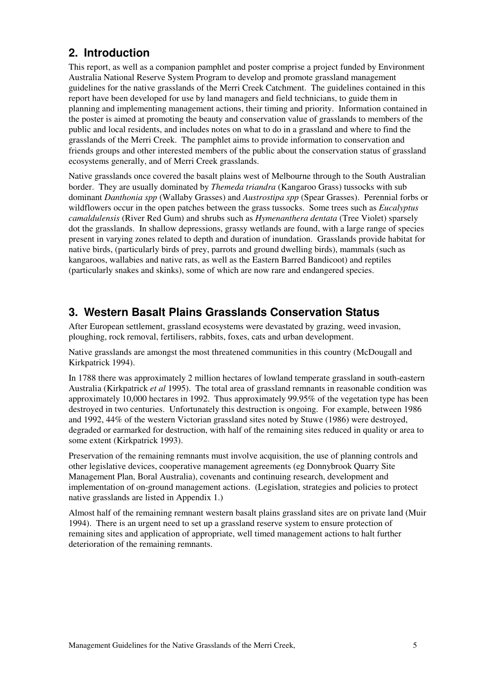## 2. Introduction

This report, as well as a companion pamphlet and poster comprise a project funded by Environment Australia National Reserve System Program to develop and promote grassland management guidelines for the native grasslands of the Merri Creek Catchment. The guidelines contained in this report have been developed for use by land managers and field technicians, to guide them in planning and implementing management actions, their timing and priority. Information contained in the poster is aimed at promoting the beauty and conservation value of grasslands to members of the public and local residents, and includes notes on what to do in a grassland and where to find the grasslands of the Merri Creek. The pamphlet aims to provide information to conservation and friends groups and other interested members of the public about the conservation status of grassland ecosystems generally, and of Merri Creek grasslands.

Native grasslands once covered the basalt plains west of Melbourne through to the South Australian border. They are usually dominated by *Themeda triandra* (Kangaroo Grass) tussocks with sub dominant Danthonia spp (Wallaby Grasses) and Austrostipa spp (Spear Grasses). Perennial forbs or wildflowers occur in the open patches between the grass tussocks. Some trees such as *Eucalyptus* camaldulensis (River Red Gum) and shrubs such as Hymenanthera dentata (Tree Violet) sparsely dot the grasslands. In shallow depressions, grassy wetlands are found, with a large range of species present in varying zones related to depth and duration of inundation. Grasslands provide habitat for native birds, (particularly birds of prey, parrots and ground dwelling birds), mammals (such as kangaroos, wallabies and native rats, as well as the Eastern Barred Bandicoot) and reptiles (particularly snakes and skinks), some of which are now rare and endangered species.

## 3. Western Basalt Plains Grasslands Conservation Status

After European settlement, grassland ecosystems were devastated by grazing, weed invasion, ploughing, rock removal, fertilisers, rabbits, foxes, cats and urban development.

Native grasslands are amongst the most threatened communities in this country (McDougall and Kirkpatrick 1994).

In 1788 there was approximately 2 million hectares of lowland temperate grassland in south-eastern Australia (Kirkpatrick *et al* 1995). The total area of grassland remnants in reasonable condition was approximately 10,000 hectares in 1992. Thus approximately 99.95% of the vegetation type has been destroyed in two centuries. Unfortunately this destruction is ongoing. For example, between 1986 and 1992, 44% of the western Victorian grassland sites noted by Stuwe (1986) were destroyed, degraded or earmarked for destruction, with half of the remaining sites reduced in quality or area to some extent (Kirkpatrick 1993).

Preservation of the remaining remnants must involve acquisition, the use of planning controls and other legislative devices, cooperative management agreements (eg Donnybrook Quarry Site Management Plan, Boral Australia), covenants and continuing research, development and implementation of on-ground management actions. (Legislation, strategies and policies to protect native grasslands are listed in Appendix 1.)

Almost half of the remaining remnant western basalt plains grassland sites are on private land (Muir 1994). There is an urgent need to set up a grassland reserve system to ensure protection of remaining sites and application of appropriate, well timed management actions to halt further deterioration of the remaining remnants.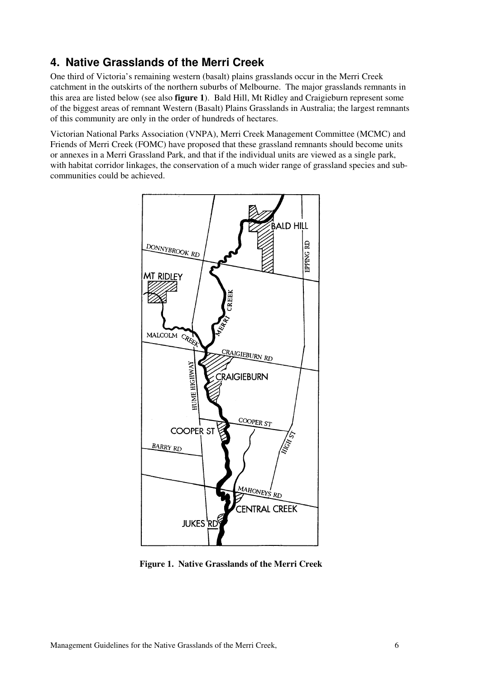## 4. Native Grasslands of the Merri Creek

One third of Victoria's remaining western (basalt) plains grasslands occur in the Merri Creek catchment in the outskirts of the northern suburbs of Melbourne. The major grasslands remnants in this area are listed below (see also figure 1). Bald Hill, Mt Ridley and Craigieburn represent some of the biggest areas of remnant Western (Basalt) Plains Grasslands in Australia; the largest remnants of this community are only in the order of hundreds of hectares.

Victorian National Parks Association (VNPA), Merri Creek Management Committee (MCMC) and Friends of Merri Creek (FOMC) have proposed that these grassland remnants should become units or annexes in a Merri Grassland Park, and that if the individual units are viewed as a single park, with habitat corridor linkages, the conservation of a much wider range of grassland species and subcommunities could be achieved.



Figure 1. Native Grasslands of the Merri Creek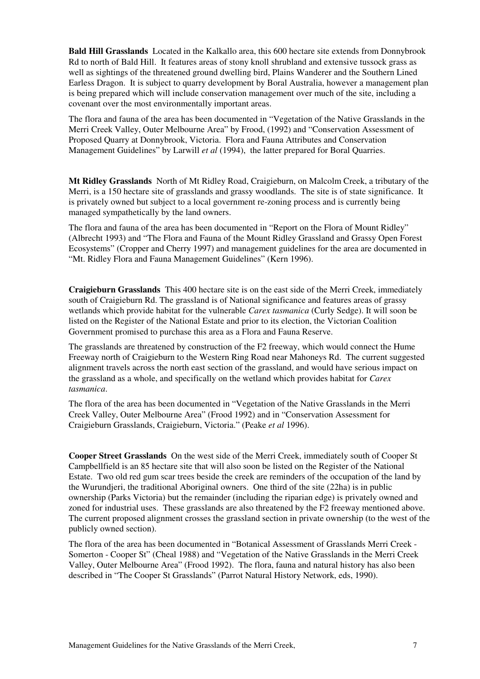Bald Hill Grasslands Located in the Kalkallo area, this 600 hectare site extends from Donnybrook Rd to north of Bald Hill. It features areas of stony knoll shrubland and extensive tussock grass as well as sightings of the threatened ground dwelling bird, Plains Wanderer and the Southern Lined Earless Dragon. It is subject to quarry development by Boral Australia, however a management plan is being prepared which will include conservation management over much of the site, including a covenant over the most environmentally important areas.

The flora and fauna of the area has been documented in "Vegetation of the Native Grasslands in the Merri Creek Valley, Outer Melbourne Area" by Frood, (1992) and "Conservation Assessment of Proposed Quarry at Donnybrook, Victoria. Flora and Fauna Attributes and Conservation Management Guidelines" by Larwill et al (1994), the latter prepared for Boral Quarries.

Mt Ridley Grasslands North of Mt Ridley Road, Craigieburn, on Malcolm Creek, a tributary of the Merri, is a 150 hectare site of grasslands and grassy woodlands. The site is of state significance. It is privately owned but subject to a local government re-zoning process and is currently being managed sympathetically by the land owners.

The flora and fauna of the area has been documented in "Report on the Flora of Mount Ridley" (Albrecht 1993) and "The Flora and Fauna of the Mount Ridley Grassland and Grassy Open Forest Ecosystems" (Cropper and Cherry 1997) and management guidelines for the area are documented in "Mt. Ridley Flora and Fauna Management Guidelines" (Kern 1996).

Craigieburn Grasslands This 400 hectare site is on the east side of the Merri Creek, immediately south of Craigieburn Rd. The grassland is of National significance and features areas of grassy wetlands which provide habitat for the vulnerable Carex tasmanica (Curly Sedge). It will soon be listed on the Register of the National Estate and prior to its election, the Victorian Coalition Government promised to purchase this area as a Flora and Fauna Reserve.

The grasslands are threatened by construction of the F2 freeway, which would connect the Hume Freeway north of Craigieburn to the Western Ring Road near Mahoneys Rd. The current suggested alignment travels across the north east section of the grassland, and would have serious impact on the grassland as a whole, and specifically on the wetland which provides habitat for *Carex* tasmanica.

The flora of the area has been documented in "Vegetation of the Native Grasslands in the Merri Creek Valley, Outer Melbourne Area" (Frood 1992) and in "Conservation Assessment for Craigieburn Grasslands, Craigieburn, Victoria." (Peake et al 1996).

Cooper Street Grasslands On the west side of the Merri Creek, immediately south of Cooper St Campbellfield is an 85 hectare site that will also soon be listed on the Register of the National Estate. Two old red gum scar trees beside the creek are reminders of the occupation of the land by the Wurundjeri, the traditional Aboriginal owners. One third of the site (22ha) is in public ownership (Parks Victoria) but the remainder (including the riparian edge) is privately owned and zoned for industrial uses. These grasslands are also threatened by the F2 freeway mentioned above. The current proposed alignment crosses the grassland section in private ownership (to the west of the publicly owned section).

The flora of the area has been documented in "Botanical Assessment of Grasslands Merri Creek - Somerton - Cooper St" (Cheal 1988) and "Vegetation of the Native Grasslands in the Merri Creek Valley, Outer Melbourne Area" (Frood 1992). The flora, fauna and natural history has also been described in "The Cooper St Grasslands" (Parrot Natural History Network, eds, 1990).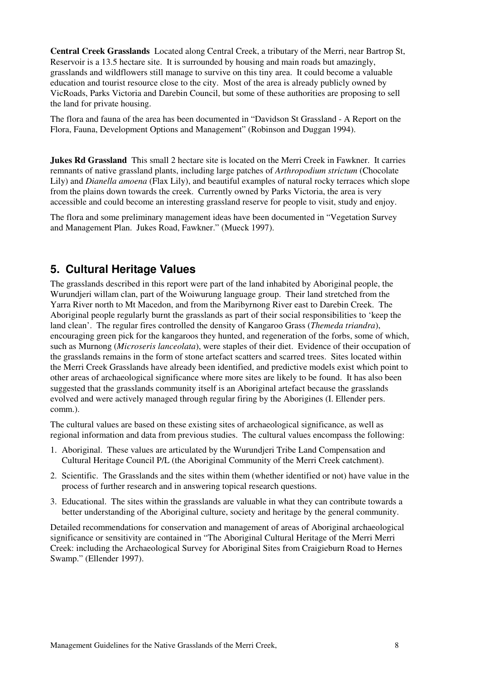Central Creek Grasslands Located along Central Creek, a tributary of the Merri, near Bartrop St, Reservoir is a 13.5 hectare site. It is surrounded by housing and main roads but amazingly, grasslands and wildflowers still manage to survive on this tiny area. It could become a valuable education and tourist resource close to the city. Most of the area is already publicly owned by VicRoads, Parks Victoria and Darebin Council, but some of these authorities are proposing to sell the land for private housing.

The flora and fauna of the area has been documented in "Davidson St Grassland - A Report on the Flora, Fauna, Development Options and Management" (Robinson and Duggan 1994).

**Jukes Rd Grassland** This small 2 hectare site is located on the Merri Creek in Fawkner. It carries remnants of native grassland plants, including large patches of Arthropodium strictum (Chocolate Lily) and Dianella amoena (Flax Lily), and beautiful examples of natural rocky terraces which slope from the plains down towards the creek. Currently owned by Parks Victoria, the area is very accessible and could become an interesting grassland reserve for people to visit, study and enjoy.

The flora and some preliminary management ideas have been documented in "Vegetation Survey and Management Plan. Jukes Road, Fawkner." (Mueck 1997).

### 5. Cultural Heritage Values

The grasslands described in this report were part of the land inhabited by Aboriginal people, the Wurundjeri willam clan, part of the Woiwurung language group. Their land stretched from the Yarra River north to Mt Macedon, and from the Maribyrnong River east to Darebin Creek. The Aboriginal people regularly burnt the grasslands as part of their social responsibilities to 'keep the land clean'. The regular fires controlled the density of Kangaroo Grass *(Themeda triandra)*, encouraging green pick for the kangaroos they hunted, and regeneration of the forbs, some of which, such as Murnong *(Microseris lanceolata)*, were staples of their diet. Evidence of their occupation of the grasslands remains in the form of stone artefact scatters and scarred trees. Sites located within the Merri Creek Grasslands have already been identified, and predictive models exist which point to other areas of archaeological significance where more sites are likely to be found. It has also been suggested that the grasslands community itself is an Aboriginal artefact because the grasslands evolved and were actively managed through regular firing by the Aborigines (I. Ellender pers. comm.).

The cultural values are based on these existing sites of archaeological significance, as well as regional information and data from previous studies. The cultural values encompass the following:

- 1. Aboriginal. These values are articulated by the Wurundjeri Tribe Land Compensation and Cultural Heritage Council P/L (the Aboriginal Community of the Merri Creek catchment).
- 2. Scientific. The Grasslands and the sites within them (whether identified or not) have value in the process of further research and in answering topical research questions.
- 3. Educational. The sites within the grasslands are valuable in what they can contribute towards a better understanding of the Aboriginal culture, society and heritage by the general community.

Detailed recommendations for conservation and management of areas of Aboriginal archaeological significance or sensitivity are contained in "The Aboriginal Cultural Heritage of the Merri Merri Creek: including the Archaeological Survey for Aboriginal Sites from Craigieburn Road to Hernes Swamp." (Ellender 1997).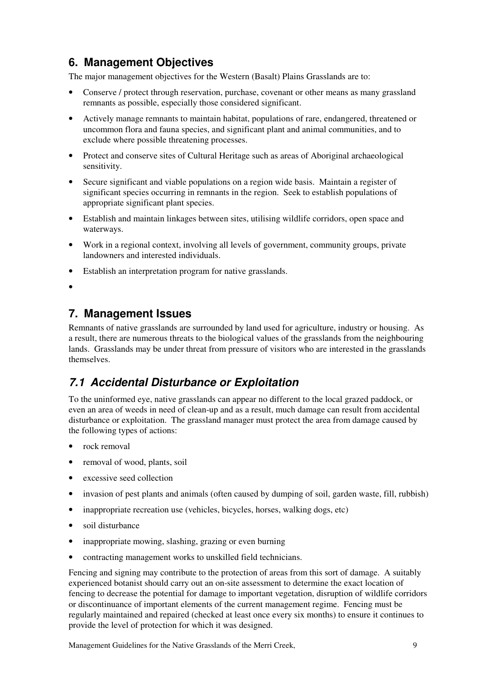# 6. Management Objectives

The major management objectives for the Western (Basalt) Plains Grasslands are to:

- Conserve / protect through reservation, purchase, covenant or other means as many grassland remnants as possible, especially those considered significant.
- Actively manage remnants to maintain habitat, populations of rare, endangered, threatened or uncommon flora and fauna species, and significant plant and animal communities, and to exclude where possible threatening processes.
- Protect and conserve sites of Cultural Heritage such as areas of Aboriginal archaeological sensitivity.
- Secure significant and viable populations on a region wide basis. Maintain a register of significant species occurring in remnants in the region. Seek to establish populations of appropriate significant plant species.
- Establish and maintain linkages between sites, utilising wildlife corridors, open space and waterways.
- Work in a regional context, involving all levels of government, community groups, private landowners and interested individuals.
- Establish an interpretation program for native grasslands.
- •

## 7. Management Issues

Remnants of native grasslands are surrounded by land used for agriculture, industry or housing. As a result, there are numerous threats to the biological values of the grasslands from the neighbouring lands. Grasslands may be under threat from pressure of visitors who are interested in the grasslands themselves.

# 7.1 Accidental Disturbance or Exploitation

To the uninformed eye, native grasslands can appear no different to the local grazed paddock, or even an area of weeds in need of clean-up and as a result, much damage can result from accidental disturbance or exploitation. The grassland manager must protect the area from damage caused by the following types of actions:

- rock removal
- removal of wood, plants, soil
- excessive seed collection
- invasion of pest plants and animals (often caused by dumping of soil, garden waste, fill, rubbish)
- inappropriate recreation use (vehicles, bicycles, horses, walking dogs, etc)
- soil disturbance
- inappropriate mowing, slashing, grazing or even burning
- contracting management works to unskilled field technicians.

Fencing and signing may contribute to the protection of areas from this sort of damage. A suitably experienced botanist should carry out an on-site assessment to determine the exact location of fencing to decrease the potential for damage to important vegetation, disruption of wildlife corridors or discontinuance of important elements of the current management regime. Fencing must be regularly maintained and repaired (checked at least once every six months) to ensure it continues to provide the level of protection for which it was designed.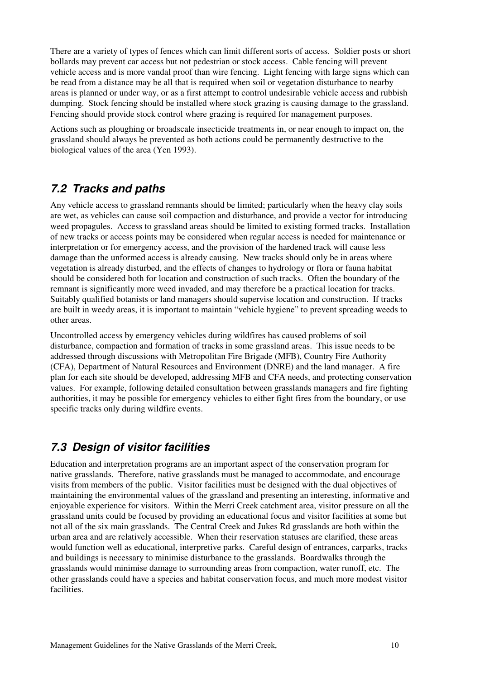There are a variety of types of fences which can limit different sorts of access. Soldier posts or short bollards may prevent car access but not pedestrian or stock access. Cable fencing will prevent vehicle access and is more vandal proof than wire fencing. Light fencing with large signs which can be read from a distance may be all that is required when soil or vegetation disturbance to nearby areas is planned or under way, or as a first attempt to control undesirable vehicle access and rubbish dumping. Stock fencing should be installed where stock grazing is causing damage to the grassland. Fencing should provide stock control where grazing is required for management purposes.

Actions such as ploughing or broadscale insecticide treatments in, or near enough to impact on, the grassland should always be prevented as both actions could be permanently destructive to the biological values of the area (Yen 1993).

## 7.2 Tracks and paths

Any vehicle access to grassland remnants should be limited; particularly when the heavy clay soils are wet, as vehicles can cause soil compaction and disturbance, and provide a vector for introducing weed propagules. Access to grassland areas should be limited to existing formed tracks. Installation of new tracks or access points may be considered when regular access is needed for maintenance or interpretation or for emergency access, and the provision of the hardened track will cause less damage than the unformed access is already causing. New tracks should only be in areas where vegetation is already disturbed, and the effects of changes to hydrology or flora or fauna habitat should be considered both for location and construction of such tracks. Often the boundary of the remnant is significantly more weed invaded, and may therefore be a practical location for tracks. Suitably qualified botanists or land managers should supervise location and construction. If tracks are built in weedy areas, it is important to maintain "vehicle hygiene" to prevent spreading weeds to other areas.

Uncontrolled access by emergency vehicles during wildfires has caused problems of soil disturbance, compaction and formation of tracks in some grassland areas. This issue needs to be addressed through discussions with Metropolitan Fire Brigade (MFB), Country Fire Authority (CFA), Department of Natural Resources and Environment (DNRE) and the land manager. A fire plan for each site should be developed, addressing MFB and CFA needs, and protecting conservation values. For example, following detailed consultation between grasslands managers and fire fighting authorities, it may be possible for emergency vehicles to either fight fires from the boundary, or use specific tracks only during wildfire events.

# 7.3 Design of visitor facilities

Education and interpretation programs are an important aspect of the conservation program for native grasslands. Therefore, native grasslands must be managed to accommodate, and encourage visits from members of the public. Visitor facilities must be designed with the dual objectives of maintaining the environmental values of the grassland and presenting an interesting, informative and enjoyable experience for visitors. Within the Merri Creek catchment area, visitor pressure on all the grassland units could be focused by providing an educational focus and visitor facilities at some but not all of the six main grasslands. The Central Creek and Jukes Rd grasslands are both within the urban area and are relatively accessible. When their reservation statuses are clarified, these areas would function well as educational, interpretive parks. Careful design of entrances, carparks, tracks and buildings is necessary to minimise disturbance to the grasslands. Boardwalks through the grasslands would minimise damage to surrounding areas from compaction, water runoff, etc. The other grasslands could have a species and habitat conservation focus, and much more modest visitor facilities.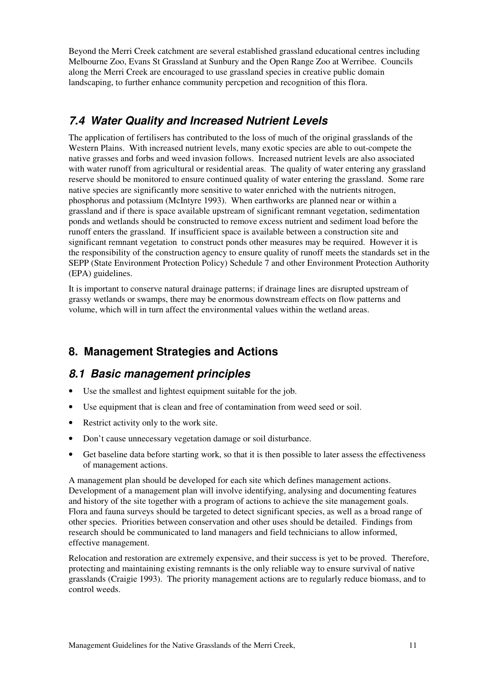Beyond the Merri Creek catchment are several established grassland educational centres including Melbourne Zoo, Evans St Grassland at Sunbury and the Open Range Zoo at Werribee. Councils along the Merri Creek are encouraged to use grassland species in creative public domain landscaping, to further enhance community percpetion and recognition of this flora.

# 7.4 Water Quality and Increased Nutrient Levels

The application of fertilisers has contributed to the loss of much of the original grasslands of the Western Plains. With increased nutrient levels, many exotic species are able to out-compete the native grasses and forbs and weed invasion follows. Increased nutrient levels are also associated with water runoff from agricultural or residential areas. The quality of water entering any grassland reserve should be monitored to ensure continued quality of water entering the grassland. Some rare native species are significantly more sensitive to water enriched with the nutrients nitrogen, phosphorus and potassium (McIntyre 1993). When earthworks are planned near or within a grassland and if there is space available upstream of significant remnant vegetation, sedimentation ponds and wetlands should be constructed to remove excess nutrient and sediment load before the runoff enters the grassland. If insufficient space is available between a construction site and significant remnant vegetation to construct ponds other measures may be required. However it is the responsibility of the construction agency to ensure quality of runoff meets the standards set in the SEPP (State Environment Protection Policy) Schedule 7 and other Environment Protection Authority (EPA) guidelines.

It is important to conserve natural drainage patterns; if drainage lines are disrupted upstream of grassy wetlands or swamps, there may be enormous downstream effects on flow patterns and volume, which will in turn affect the environmental values within the wetland areas.

# 8. Management Strategies and Actions

## 8.1 Basic management principles

- Use the smallest and lightest equipment suitable for the job.
- Use equipment that is clean and free of contamination from weed seed or soil.
- Restrict activity only to the work site.
- Don't cause unnecessary vegetation damage or soil disturbance.
- Get baseline data before starting work, so that it is then possible to later assess the effectiveness of management actions.

A management plan should be developed for each site which defines management actions. Development of a management plan will involve identifying, analysing and documenting features and history of the site together with a program of actions to achieve the site management goals. Flora and fauna surveys should be targeted to detect significant species, as well as a broad range of other species. Priorities between conservation and other uses should be detailed. Findings from research should be communicated to land managers and field technicians to allow informed, effective management.

Relocation and restoration are extremely expensive, and their success is yet to be proved. Therefore, protecting and maintaining existing remnants is the only reliable way to ensure survival of native grasslands (Craigie 1993). The priority management actions are to regularly reduce biomass, and to control weeds.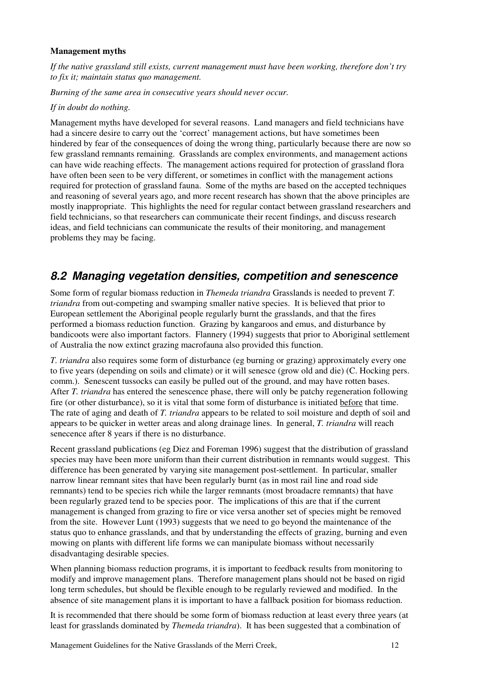#### Management myths

If the native grassland still exists, current management must have been working, therefore don't try to fix it; maintain status quo management.

Burning of the same area in consecutive years should never occur.

#### If in doubt do nothing.

Management myths have developed for several reasons. Land managers and field technicians have had a sincere desire to carry out the 'correct' management actions, but have sometimes been hindered by fear of the consequences of doing the wrong thing, particularly because there are now so few grassland remnants remaining. Grasslands are complex environments, and management actions can have wide reaching effects. The management actions required for protection of grassland flora have often been seen to be very different, or sometimes in conflict with the management actions required for protection of grassland fauna. Some of the myths are based on the accepted techniques and reasoning of several years ago, and more recent research has shown that the above principles are mostly inappropriate. This highlights the need for regular contact between grassland researchers and field technicians, so that researchers can communicate their recent findings, and discuss research ideas, and field technicians can communicate the results of their monitoring, and management problems they may be facing.

## 8.2 Managing vegetation densities, competition and senescence

Some form of regular biomass reduction in Themeda triandra Grasslands is needed to prevent T. triandra from out-competing and swamping smaller native species. It is believed that prior to European settlement the Aboriginal people regularly burnt the grasslands, and that the fires performed a biomass reduction function. Grazing by kangaroos and emus, and disturbance by bandicoots were also important factors. Flannery (1994) suggests that prior to Aboriginal settlement of Australia the now extinct grazing macrofauna also provided this function.

T. triandra also requires some form of disturbance (eg burning or grazing) approximately every one to five years (depending on soils and climate) or it will senesce (grow old and die) (C. Hocking pers. comm.). Senescent tussocks can easily be pulled out of the ground, and may have rotten bases. After T. triandra has entered the senescence phase, there will only be patchy regeneration following fire (or other disturbance), so it is vital that some form of disturbance is initiated before that time. The rate of aging and death of T. triandra appears to be related to soil moisture and depth of soil and appears to be quicker in wetter areas and along drainage lines. In general, T. triandra will reach senecence after 8 years if there is no disturbance.

Recent grassland publications (eg Diez and Foreman 1996) suggest that the distribution of grassland species may have been more uniform than their current distribution in remnants would suggest. This difference has been generated by varying site management post-settlement. In particular, smaller narrow linear remnant sites that have been regularly burnt (as in most rail line and road side remnants) tend to be species rich while the larger remnants (most broadacre remnants) that have been regularly grazed tend to be species poor. The implications of this are that if the current management is changed from grazing to fire or vice versa another set of species might be removed from the site. However Lunt (1993) suggests that we need to go beyond the maintenance of the status quo to enhance grasslands, and that by understanding the effects of grazing, burning and even mowing on plants with different life forms we can manipulate biomass without necessarily disadvantaging desirable species.

When planning biomass reduction programs, it is important to feedback results from monitoring to modify and improve management plans. Therefore management plans should not be based on rigid long term schedules, but should be flexible enough to be regularly reviewed and modified. In the absence of site management plans it is important to have a fallback position for biomass reduction.

It is recommended that there should be some form of biomass reduction at least every three years (at least for grasslands dominated by Themeda triandra). It has been suggested that a combination of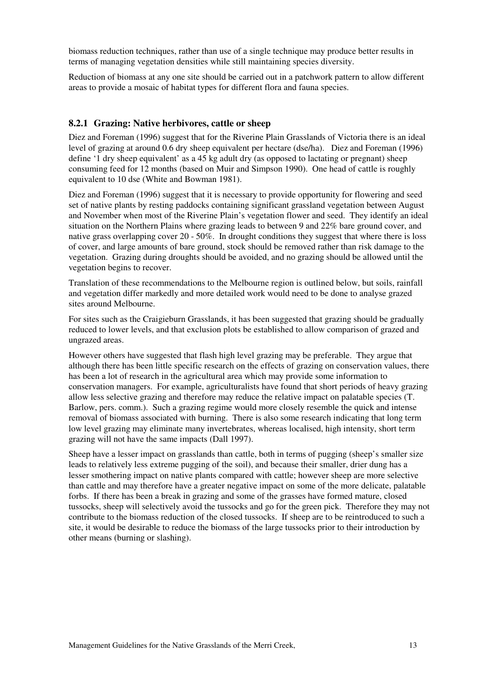biomass reduction techniques, rather than use of a single technique may produce better results in terms of managing vegetation densities while still maintaining species diversity.

Reduction of biomass at any one site should be carried out in a patchwork pattern to allow different areas to provide a mosaic of habitat types for different flora and fauna species.

### 8.2.1 Grazing: Native herbivores, cattle or sheep

Diez and Foreman (1996) suggest that for the Riverine Plain Grasslands of Victoria there is an ideal level of grazing at around 0.6 dry sheep equivalent per hectare (dse/ha). Diez and Foreman (1996) define '1 dry sheep equivalent' as a 45 kg adult dry (as opposed to lactating or pregnant) sheep consuming feed for 12 months (based on Muir and Simpson 1990). One head of cattle is roughly equivalent to 10 dse (White and Bowman 1981).

Diez and Foreman (1996) suggest that it is necessary to provide opportunity for flowering and seed set of native plants by resting paddocks containing significant grassland vegetation between August and November when most of the Riverine Plain's vegetation flower and seed. They identify an ideal situation on the Northern Plains where grazing leads to between 9 and 22% bare ground cover, and native grass overlapping cover 20 - 50%. In drought conditions they suggest that where there is loss of cover, and large amounts of bare ground, stock should be removed rather than risk damage to the vegetation. Grazing during droughts should be avoided, and no grazing should be allowed until the vegetation begins to recover.

Translation of these recommendations to the Melbourne region is outlined below, but soils, rainfall and vegetation differ markedly and more detailed work would need to be done to analyse grazed sites around Melbourne.

For sites such as the Craigieburn Grasslands, it has been suggested that grazing should be gradually reduced to lower levels, and that exclusion plots be established to allow comparison of grazed and ungrazed areas.

However others have suggested that flash high level grazing may be preferable. They argue that although there has been little specific research on the effects of grazing on conservation values, there has been a lot of research in the agricultural area which may provide some information to conservation managers. For example, agriculturalists have found that short periods of heavy grazing allow less selective grazing and therefore may reduce the relative impact on palatable species (T. Barlow, pers. comm.). Such a grazing regime would more closely resemble the quick and intense removal of biomass associated with burning. There is also some research indicating that long term low level grazing may eliminate many invertebrates, whereas localised, high intensity, short term grazing will not have the same impacts (Dall 1997).

Sheep have a lesser impact on grasslands than cattle, both in terms of pugging (sheep's smaller size leads to relatively less extreme pugging of the soil), and because their smaller, drier dung has a lesser smothering impact on native plants compared with cattle; however sheep are more selective than cattle and may therefore have a greater negative impact on some of the more delicate, palatable forbs. If there has been a break in grazing and some of the grasses have formed mature, closed tussocks, sheep will selectively avoid the tussocks and go for the green pick. Therefore they may not contribute to the biomass reduction of the closed tussocks. If sheep are to be reintroduced to such a site, it would be desirable to reduce the biomass of the large tussocks prior to their introduction by other means (burning or slashing).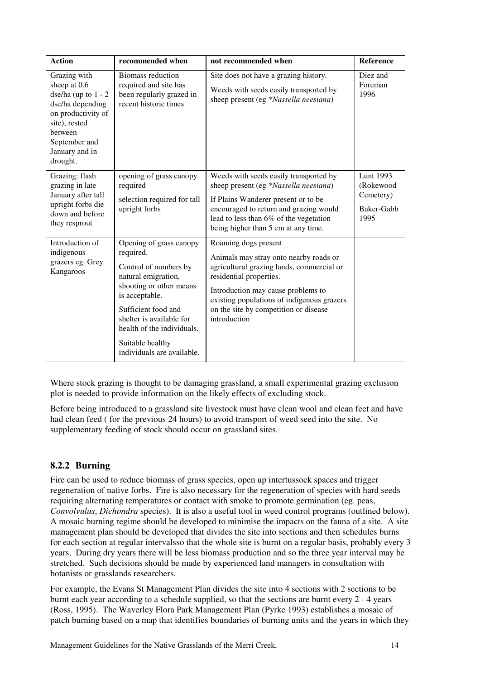| <b>Action</b>                                                                                                                                                              | recommended when                                                                                                                                                                                                                                                     | not recommended when                                                                                                                                                                                                                                                                | Reference                                                 |
|----------------------------------------------------------------------------------------------------------------------------------------------------------------------------|----------------------------------------------------------------------------------------------------------------------------------------------------------------------------------------------------------------------------------------------------------------------|-------------------------------------------------------------------------------------------------------------------------------------------------------------------------------------------------------------------------------------------------------------------------------------|-----------------------------------------------------------|
| Grazing with<br>sheep at 0.6<br>dse/ha (up to $1 - 2$<br>dse/ha depending<br>on productivity of<br>site), rested<br>between<br>September and<br>January and in<br>drought. | <b>Biomass reduction</b><br>required and site has<br>been regularly grazed in<br>recent historic times                                                                                                                                                               | Site does not have a grazing history.<br>Weeds with seeds easily transported by<br>sheep present (eg *Nassella neesiana)                                                                                                                                                            | Diez and<br>Foreman<br>1996                               |
| Grazing: flash<br>grazing in late<br>January after tall<br>upright forbs die<br>down and before<br>they resprout                                                           | opening of grass canopy<br>required<br>selection required for tall<br>upright forbs                                                                                                                                                                                  | Weeds with seeds easily transported by<br>sheep present (eg *Nassella neesiana)<br>If Plains Wanderer present or to be<br>encouraged to return and grazing would<br>lead to less than 6% of the vegetation<br>being higher than 5 cm at any time.                                   | Lunt 1993<br>(Rokewood<br>Cemetery)<br>Baker-Gabb<br>1995 |
| Introduction of<br>indigenous<br>grazers eg. Grey<br>Kangaroos                                                                                                             | Opening of grass canopy<br>required.<br>Control of numbers by<br>natural emigration,<br>shooting or other means<br>is acceptable.<br>Sufficient food and<br>shelter is available for<br>health of the individuals.<br>Suitable healthy<br>individuals are available. | Roaming dogs present<br>Animals may stray onto nearby roads or<br>agricultural grazing lands, commercial or<br>residential properties.<br>Introduction may cause problems to<br>existing populations of indigenous grazers<br>on the site by competition or disease<br>introduction |                                                           |

Where stock grazing is thought to be damaging grassland, a small experimental grazing exclusion plot is needed to provide information on the likely effects of excluding stock.

Before being introduced to a grassland site livestock must have clean wool and clean feet and have had clean feed ( for the previous 24 hours) to avoid transport of weed seed into the site. No supplementary feeding of stock should occur on grassland sites.

### 8.2.2 Burning

Fire can be used to reduce biomass of grass species, open up intertussock spaces and trigger regeneration of native forbs. Fire is also necessary for the regeneration of species with hard seeds requiring alternating temperatures or contact with smoke to promote germination (eg. peas, Convolvulus, Dichondra species). It is also a useful tool in weed control programs (outlined below). A mosaic burning regime should be developed to minimise the impacts on the fauna of a site. A site management plan should be developed that divides the site into sections and then schedules burns for each section at regular intervalsso that the whole site is burnt on a regular basis, probably every 3 years. During dry years there will be less biomass production and so the three year interval may be stretched. Such decisions should be made by experienced land managers in consultation with botanists or grasslands researchers.

For example, the Evans St Management Plan divides the site into 4 sections with 2 sections to be burnt each year according to a schedule supplied, so that the sections are burnt every 2 - 4 years (Ross, 1995). The Waverley Flora Park Management Plan (Pyrke 1993) establishes a mosaic of patch burning based on a map that identifies boundaries of burning units and the years in which they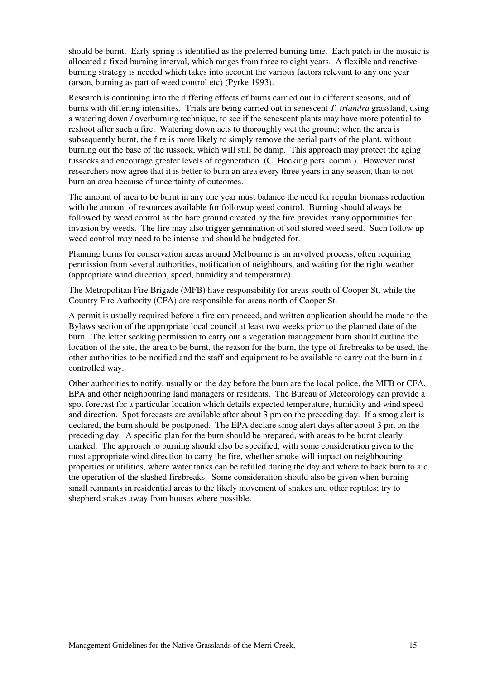should be burnt. Early spring is identified as the preferred burning time. Each patch in the mosaic is allocated a fixed burning interval, which ranges from three to eight years. A flexible and reactive burning strategy is needed which takes into account the various factors relevant to any one year (arson, burning as part of weed control etc) (Pyrke 1993).

Research is continuing into the differing effects of burns carried out in different seasons, and of burns with differing intensities. Trials are being carried out in senescent T. triandra grassland, using a watering down / overburning technique, to see if the senescent plants may have more potential to reshoot after such a fire. Watering down acts to thoroughly wet the ground; when the area is subsequently burnt, the fire is more likely to simply remove the aerial parts of the plant, without burning out the base of the tussock, which will still be damp. This approach may protect the aging tussocks and encourage greater levels of regeneration. (C. Hocking pers. comm.). However most researchers now agree that it is better to burn an area every three years in any season, than to not burn an area because of uncertainty of outcomes.

The amount of area to be burnt in any one year must balance the need for regular biomass reduction with the amount of resources available for followup weed control. Burning should always be followed by weed control as the bare ground created by the fire provides many opportunities for invasion by weeds. The fire may also trigger germination of soil stored weed seed. Such follow up weed control may need to be intense and should be budgeted for.

Planning burns for conservation areas around Melbourne is an involved process, often requiring permission from several authorities, notification of neighbours, and waiting for the right weather (appropriate wind direction, speed, humidity and temperature).

The Metropolitan Fire Brigade (MFB) have responsibility for areas south of Cooper St, while the Country Fire Authority (CFA) are responsible for areas north of Cooper St.

A permit is usually required before a fire can proceed, and written application should be made to the Bylaws section of the appropriate local council at least two weeks prior to the planned date of the burn. The letter seeking permission to carry out a vegetation management burn should outline the location of the site, the area to be burnt, the reason for the burn, the type of firebreaks to be used, the other authorities to be notified and the staff and equipment to be available to carry out the burn in a controlled way.

Other authorities to notify, usually on the day before the burn are the local police, the MFB or CFA, EPA and other neighbouring land managers or residents. The Bureau of Meteorology can provide a spot forecast for a particular location which details expected temperature, humidity and wind speed and direction. Spot forecasts are available after about 3 pm on the preceding day. If a smog alert is declared, the burn should be postponed. The EPA declare smog alert days after about 3 pm on the preceding day. A specific plan for the burn should be prepared, with areas to be burnt clearly marked. The approach to burning should also be specified, with some consideration given to the most appropriate wind direction to carry the fire, whether smoke will impact on neighbouring properties or utilities, where water tanks can be refilled during the day and where to back burn to aid the operation of the slashed firebreaks. Some consideration should also be given when burning small remnants in residential areas to the likely movement of snakes and other reptiles; try to shepherd snakes away from houses where possible.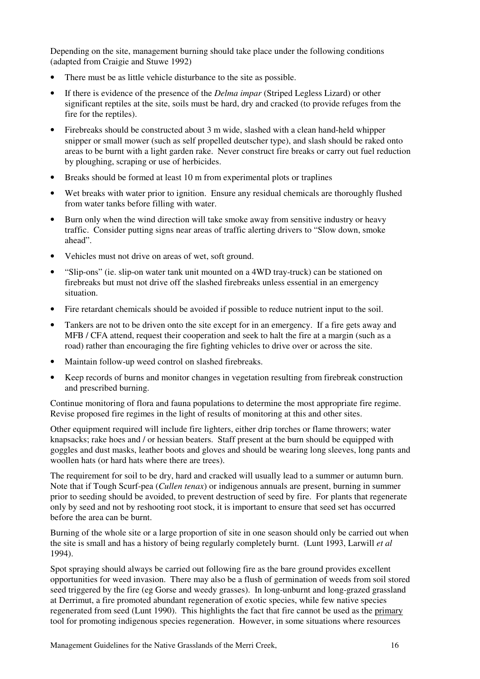Depending on the site, management burning should take place under the following conditions (adapted from Craigie and Stuwe 1992)

- There must be as little vehicle disturbance to the site as possible.
- If there is evidence of the presence of the *Delma impar* (Striped Legless Lizard) or other significant reptiles at the site, soils must be hard, dry and cracked (to provide refuges from the fire for the reptiles).
- Firebreaks should be constructed about 3 m wide, slashed with a clean hand-held whipper snipper or small mower (such as self propelled deutscher type), and slash should be raked onto areas to be burnt with a light garden rake. Never construct fire breaks or carry out fuel reduction by ploughing, scraping or use of herbicides.
- Breaks should be formed at least 10 m from experimental plots or traplines
- Wet breaks with water prior to ignition. Ensure any residual chemicals are thoroughly flushed from water tanks before filling with water.
- Burn only when the wind direction will take smoke away from sensitive industry or heavy traffic. Consider putting signs near areas of traffic alerting drivers to "Slow down, smoke ahead".
- Vehicles must not drive on areas of wet, soft ground.
- "Slip-ons" (ie. slip-on water tank unit mounted on a 4WD tray-truck) can be stationed on firebreaks but must not drive off the slashed firebreaks unless essential in an emergency situation.
- Fire retardant chemicals should be avoided if possible to reduce nutrient input to the soil.
- Tankers are not to be driven onto the site except for in an emergency. If a fire gets away and MFB / CFA attend, request their cooperation and seek to halt the fire at a margin (such as a road) rather than encouraging the fire fighting vehicles to drive over or across the site.
- Maintain follow-up weed control on slashed firebreaks.
- Keep records of burns and monitor changes in vegetation resulting from firebreak construction and prescribed burning.

Continue monitoring of flora and fauna populations to determine the most appropriate fire regime. Revise proposed fire regimes in the light of results of monitoring at this and other sites.

Other equipment required will include fire lighters, either drip torches or flame throwers; water knapsacks; rake hoes and / or hessian beaters. Staff present at the burn should be equipped with goggles and dust masks, leather boots and gloves and should be wearing long sleeves, long pants and woollen hats (or hard hats where there are trees).

The requirement for soil to be dry, hard and cracked will usually lead to a summer or autumn burn. Note that if Tough Scurf-pea (Cullen tenax) or indigenous annuals are present, burning in summer prior to seeding should be avoided, to prevent destruction of seed by fire. For plants that regenerate only by seed and not by reshooting root stock, it is important to ensure that seed set has occurred before the area can be burnt.

Burning of the whole site or a large proportion of site in one season should only be carried out when the site is small and has a history of being regularly completely burnt. (Lunt 1993, Larwill *et al* 1994).

Spot spraying should always be carried out following fire as the bare ground provides excellent opportunities for weed invasion. There may also be a flush of germination of weeds from soil stored seed triggered by the fire (eg Gorse and weedy grasses). In long-unburnt and long-grazed grassland at Derrimut, a fire promoted abundant regeneration of exotic species, while few native species regenerated from seed (Lunt 1990). This highlights the fact that fire cannot be used as the primary tool for promoting indigenous species regeneration. However, in some situations where resources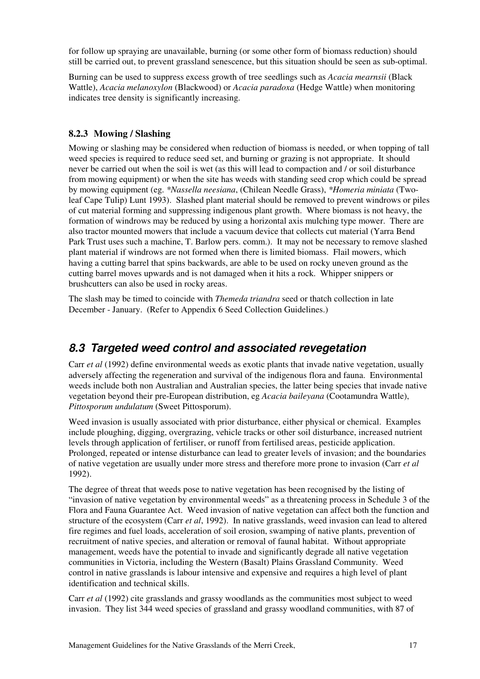for follow up spraying are unavailable, burning (or some other form of biomass reduction) should still be carried out, to prevent grassland senescence, but this situation should be seen as sub-optimal.

Burning can be used to suppress excess growth of tree seedlings such as Acacia mearnsii (Black Wattle), Acacia melanoxylon (Blackwood) or Acacia paradoxa (Hedge Wattle) when monitoring indicates tree density is significantly increasing.

### 8.2.3 Mowing / Slashing

Mowing or slashing may be considered when reduction of biomass is needed, or when topping of tall weed species is required to reduce seed set, and burning or grazing is not appropriate. It should never be carried out when the soil is wet (as this will lead to compaction and / or soil disturbance from mowing equipment) or when the site has weeds with standing seed crop which could be spread by mowing equipment (eg. \*Nassella neesiana, (Chilean Needle Grass), \*Homeria miniata (Twoleaf Cape Tulip) Lunt 1993). Slashed plant material should be removed to prevent windrows or piles of cut material forming and suppressing indigenous plant growth. Where biomass is not heavy, the formation of windrows may be reduced by using a horizontal axis mulching type mower. There are also tractor mounted mowers that include a vacuum device that collects cut material (Yarra Bend Park Trust uses such a machine, T. Barlow pers. comm.). It may not be necessary to remove slashed plant material if windrows are not formed when there is limited biomass. Flail mowers, which having a cutting barrel that spins backwards, are able to be used on rocky uneven ground as the cutting barrel moves upwards and is not damaged when it hits a rock. Whipper snippers or brushcutters can also be used in rocky areas.

The slash may be timed to coincide with *Themeda triandra* seed or thatch collection in late December - January. (Refer to Appendix 6 Seed Collection Guidelines.)

## 8.3 Targeted weed control and associated revegetation

Carr et al (1992) define environmental weeds as exotic plants that invade native vegetation, usually adversely affecting the regeneration and survival of the indigenous flora and fauna. Environmental weeds include both non Australian and Australian species, the latter being species that invade native vegetation beyond their pre-European distribution, eg Acacia baileyana (Cootamundra Wattle), Pittosporum undulatum (Sweet Pittosporum).

Weed invasion is usually associated with prior disturbance, either physical or chemical. Examples include ploughing, digging, overgrazing, vehicle tracks or other soil disturbance, increased nutrient levels through application of fertiliser, or runoff from fertilised areas, pesticide application. Prolonged, repeated or intense disturbance can lead to greater levels of invasion; and the boundaries of native vegetation are usually under more stress and therefore more prone to invasion (Carr et al 1992).

The degree of threat that weeds pose to native vegetation has been recognised by the listing of "invasion of native vegetation by environmental weeds" as a threatening process in Schedule 3 of the Flora and Fauna Guarantee Act. Weed invasion of native vegetation can affect both the function and structure of the ecosystem (Carr *et al.* 1992). In native grasslands, weed invasion can lead to altered fire regimes and fuel loads, acceleration of soil erosion, swamping of native plants, prevention of recruitment of native species, and alteration or removal of faunal habitat. Without appropriate management, weeds have the potential to invade and significantly degrade all native vegetation communities in Victoria, including the Western (Basalt) Plains Grassland Community. Weed control in native grasslands is labour intensive and expensive and requires a high level of plant identification and technical skills.

Carr *et al* (1992) cite grasslands and grassy woodlands as the communities most subject to weed invasion. They list 344 weed species of grassland and grassy woodland communities, with 87 of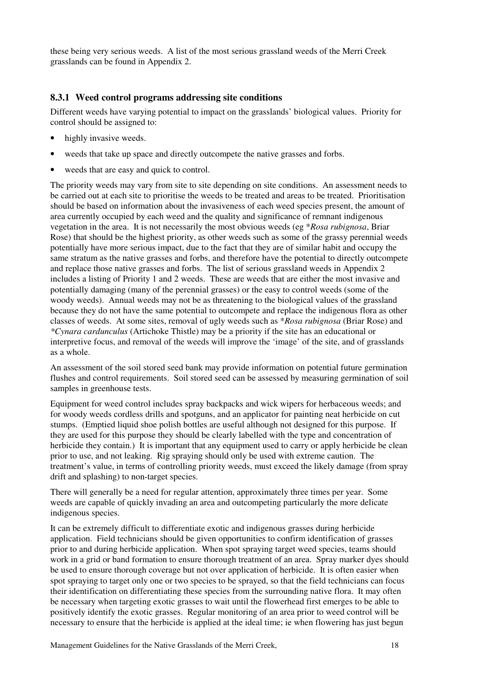these being very serious weeds. A list of the most serious grassland weeds of the Merri Creek grasslands can be found in Appendix 2.

### 8.3.1 Weed control programs addressing site conditions

Different weeds have varying potential to impact on the grasslands' biological values. Priority for control should be assigned to:

- highly invasive weeds.
- weeds that take up space and directly outcompete the native grasses and forbs.
- weeds that are easy and quick to control.

The priority weeds may vary from site to site depending on site conditions. An assessment needs to be carried out at each site to prioritise the weeds to be treated and areas to be treated. Prioritisation should be based on information about the invasiveness of each weed species present, the amount of area currently occupied by each weed and the quality and significance of remnant indigenous vegetation in the area. It is not necessarily the most obvious weeds (eg  $*$ Rosa rubignosa, Briar Rose) that should be the highest priority, as other weeds such as some of the grassy perennial weeds potentially have more serious impact, due to the fact that they are of similar habit and occupy the same stratum as the native grasses and forbs, and therefore have the potential to directly outcompete and replace those native grasses and forbs. The list of serious grassland weeds in Appendix 2 includes a listing of Priority 1 and 2 weeds. These are weeds that are either the most invasive and potentially damaging (many of the perennial grasses) or the easy to control weeds (some of the woody weeds). Annual weeds may not be as threatening to the biological values of the grassland because they do not have the same potential to outcompete and replace the indigenous flora as other classes of weeds. At some sites, removal of ugly weeds such as \*Rosa rubignosa (Briar Rose) and \*Cynara cardunculus (Artichoke Thistle) may be a priority if the site has an educational or interpretive focus, and removal of the weeds will improve the 'image' of the site, and of grasslands as a whole.

An assessment of the soil stored seed bank may provide information on potential future germination flushes and control requirements. Soil stored seed can be assessed by measuring germination of soil samples in greenhouse tests.

Equipment for weed control includes spray backpacks and wick wipers for herbaceous weeds; and for woody weeds cordless drills and spotguns, and an applicator for painting neat herbicide on cut stumps. (Emptied liquid shoe polish bottles are useful although not designed for this purpose. If they are used for this purpose they should be clearly labelled with the type and concentration of herbicide they contain.) It is important that any equipment used to carry or apply herbicide be clean prior to use, and not leaking. Rig spraying should only be used with extreme caution. The treatment's value, in terms of controlling priority weeds, must exceed the likely damage (from spray drift and splashing) to non-target species.

There will generally be a need for regular attention, approximately three times per year. Some weeds are capable of quickly invading an area and outcompeting particularly the more delicate indigenous species.

It can be extremely difficult to differentiate exotic and indigenous grasses during herbicide application. Field technicians should be given opportunities to confirm identification of grasses prior to and during herbicide application. When spot spraying target weed species, teams should work in a grid or band formation to ensure thorough treatment of an area. Spray marker dyes should be used to ensure thorough coverage but not over application of herbicide. It is often easier when spot spraying to target only one or two species to be sprayed, so that the field technicians can focus their identification on differentiating these species from the surrounding native flora. It may often be necessary when targeting exotic grasses to wait until the flowerhead first emerges to be able to positively identify the exotic grasses. Regular monitoring of an area prior to weed control will be necessary to ensure that the herbicide is applied at the ideal time; ie when flowering has just begun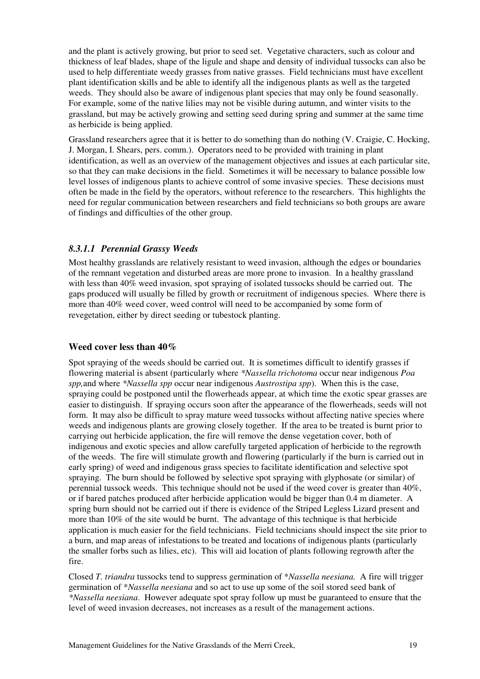and the plant is actively growing, but prior to seed set. Vegetative characters, such as colour and thickness of leaf blades, shape of the ligule and shape and density of individual tussocks can also be used to help differentiate weedy grasses from native grasses. Field technicians must have excellent plant identification skills and be able to identify all the indigenous plants as well as the targeted weeds. They should also be aware of indigenous plant species that may only be found seasonally. For example, some of the native lilies may not be visible during autumn, and winter visits to the grassland, but may be actively growing and setting seed during spring and summer at the same time as herbicide is being applied.

Grassland researchers agree that it is better to do something than do nothing (V. Craigie, C. Hocking, J. Morgan, I. Shears, pers. comm.). Operators need to be provided with training in plant identification, as well as an overview of the management objectives and issues at each particular site, so that they can make decisions in the field. Sometimes it will be necessary to balance possible low level losses of indigenous plants to achieve control of some invasive species. These decisions must often be made in the field by the operators, without reference to the researchers. This highlights the need for regular communication between researchers and field technicians so both groups are aware of findings and difficulties of the other group.

### 8.3.1.1 Perennial Grassy Weeds

Most healthy grasslands are relatively resistant to weed invasion, although the edges or boundaries of the remnant vegetation and disturbed areas are more prone to invasion. In a healthy grassland with less than 40% weed invasion, spot spraying of isolated tussocks should be carried out. The gaps produced will usually be filled by growth or recruitment of indigenous species. Where there is more than 40% weed cover, weed control will need to be accompanied by some form of revegetation, either by direct seeding or tubestock planting.

### Weed cover less than 40%

Spot spraying of the weeds should be carried out. It is sometimes difficult to identify grasses if flowering material is absent (particularly where \*Nassella trichotoma occur near indigenous Poa spp, and where \*Nassella spp occur near indigenous Austrostipa spp). When this is the case, spraying could be postponed until the flowerheads appear, at which time the exotic spear grasses are easier to distinguish. If spraying occurs soon after the appearance of the flowerheads, seeds will not form. It may also be difficult to spray mature weed tussocks without affecting native species where weeds and indigenous plants are growing closely together. If the area to be treated is burnt prior to carrying out herbicide application, the fire will remove the dense vegetation cover, both of indigenous and exotic species and allow carefully targeted application of herbicide to the regrowth of the weeds. The fire will stimulate growth and flowering (particularly if the burn is carried out in early spring) of weed and indigenous grass species to facilitate identification and selective spot spraying. The burn should be followed by selective spot spraying with glyphosate (or similar) of perennial tussock weeds. This technique should not be used if the weed cover is greater than 40%, or if bared patches produced after herbicide application would be bigger than 0.4 m diameter. A spring burn should not be carried out if there is evidence of the Striped Legless Lizard present and more than 10% of the site would be burnt. The advantage of this technique is that herbicide application is much easier for the field technicians. Field technicians should inspect the site prior to a burn, and map areas of infestations to be treated and locations of indigenous plants (particularly the smaller forbs such as lilies, etc). This will aid location of plants following regrowth after the fire.

Closed T. triandra tussocks tend to suppress germination of \*Nassella neesiana. A fire will trigger germination of \*Nassella neesiana and so act to use up some of the soil stored seed bank of \*Nassella neesiana. However adequate spot spray follow up must be guaranteed to ensure that the level of weed invasion decreases, not increases as a result of the management actions.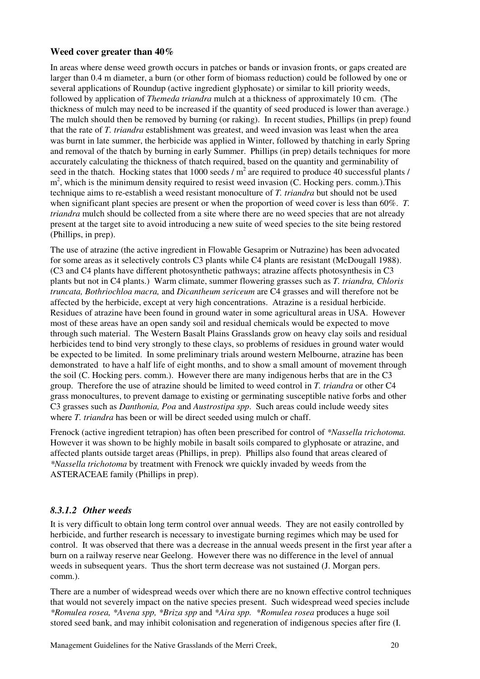#### Weed cover greater than 40%

In areas where dense weed growth occurs in patches or bands or invasion fronts, or gaps created are larger than 0.4 m diameter, a burn (or other form of biomass reduction) could be followed by one or several applications of Roundup (active ingredient glyphosate) or similar to kill priority weeds, followed by application of Themeda triandra mulch at a thickness of approximately 10 cm. (The thickness of mulch may need to be increased if the quantity of seed produced is lower than average.) The mulch should then be removed by burning (or raking). In recent studies, Phillips (in prep) found that the rate of T. triandra establishment was greatest, and weed invasion was least when the area was burnt in late summer, the herbicide was applied in Winter, followed by thatching in early Spring and removal of the thatch by burning in early Summer. Phillips (in prep) details techniques for more accurately calculating the thickness of thatch required, based on the quantity and germinability of seed in the thatch. Hocking states that 1000 seeds  $/m<sup>2</sup>$  are required to produce 40 successful plants / m<sup>2</sup>, which is the minimum density required to resist weed invasion (C. Hocking pers. comm.). This technique aims to re-establish a weed resistant monoculture of T. triandra but should not be used when significant plant species are present or when the proportion of weed cover is less than 60%. T. triandra mulch should be collected from a site where there are no weed species that are not already present at the target site to avoid introducing a new suite of weed species to the site being restored (Phillips, in prep).

The use of atrazine (the active ingredient in Flowable Gesaprim or Nutrazine) has been advocated for some areas as it selectively controls C3 plants while C4 plants are resistant (McDougall 1988). (C3 and C4 plants have different photosynthetic pathways; atrazine affects photosynthesis in C3 plants but not in C4 plants.) Warm climate, summer flowering grasses such as T. triandra, Chloris truncata, Bothriochloa macra, and Dicantheum sericeum are C4 grasses and will therefore not be affected by the herbicide, except at very high concentrations. Atrazine is a residual herbicide. Residues of atrazine have been found in ground water in some agricultural areas in USA. However most of these areas have an open sandy soil and residual chemicals would be expected to move through such material. The Western Basalt Plains Grasslands grow on heavy clay soils and residual herbicides tend to bind very strongly to these clays, so problems of residues in ground water would be expected to be limited. In some preliminary trials around western Melbourne, atrazine has been demonstrated to have a half life of eight months, and to show a small amount of movement through the soil (C. Hocking pers. comm.). However there are many indigenous herbs that are in the C3 group. Therefore the use of atrazine should be limited to weed control in T. triandra or other C4 grass monocultures, to prevent damage to existing or germinating susceptible native forbs and other C3 grasses such as Danthonia, Poa and Austrostipa spp. Such areas could include weedy sites where *T. triandra* has been or will be direct seeded using mulch or chaff.

Frenock (active ingredient tetrapion) has often been prescribed for control of \*Nassella trichotoma. However it was shown to be highly mobile in basalt soils compared to glyphosate or atrazine, and affected plants outside target areas (Phillips, in prep). Phillips also found that areas cleared of \*Nassella trichotoma by treatment with Frenock wre quickly invaded by weeds from the ASTERACEAE family (Phillips in prep).

### 8.3.1.2 Other weeds

It is very difficult to obtain long term control over annual weeds. They are not easily controlled by herbicide, and further research is necessary to investigate burning regimes which may be used for control. It was observed that there was a decrease in the annual weeds present in the first year after a burn on a railway reserve near Geelong. However there was no difference in the level of annual weeds in subsequent years. Thus the short term decrease was not sustained (J. Morgan pers. comm.).

There are a number of widespread weeds over which there are no known effective control techniques that would not severely impact on the native species present. Such widespread weed species include \*Romulea rosea, \*Avena spp, \*Briza spp and \*Aira spp. \*Romulea rosea produces a huge soil stored seed bank, and may inhibit colonisation and regeneration of indigenous species after fire (I.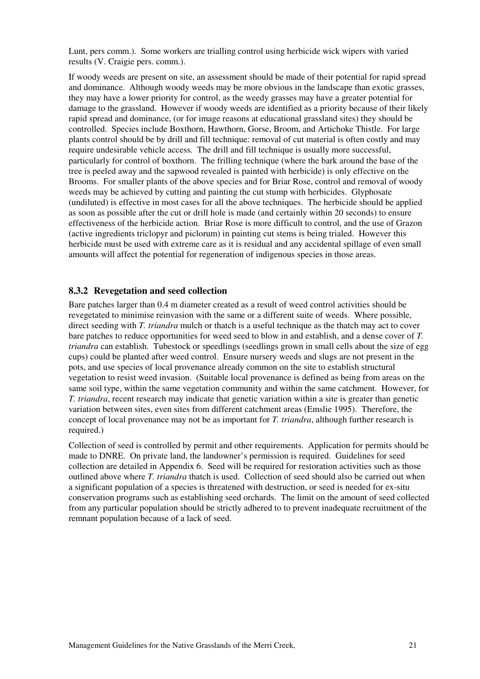Lunt, pers comm.). Some workers are trialling control using herbicide wick wipers with varied results (V. Craigie pers. comm.).

If woody weeds are present on site, an assessment should be made of their potential for rapid spread and dominance. Although woody weeds may be more obvious in the landscape than exotic grasses, they may have a lower priority for control, as the weedy grasses may have a greater potential for damage to the grassland. However if woody weeds are identified as a priority because of their likely rapid spread and dominance, (or for image reasons at educational grassland sites) they should be controlled. Species include Boxthorn, Hawthorn, Gorse, Broom, and Artichoke Thistle. For large plants control should be by drill and fill technique: removal of cut material is often costly and may require undesirable vehicle access. The drill and fill technique is usually more successful, particularly for control of boxthorn. The frilling technique (where the bark around the base of the tree is peeled away and the sapwood revealed is painted with herbicide) is only effective on the Brooms. For smaller plants of the above species and for Briar Rose, control and removal of woody weeds may be achieved by cutting and painting the cut stump with herbicides. Glyphosate (undiluted) is effective in most cases for all the above techniques. The herbicide should be applied as soon as possible after the cut or drill hole is made (and certainly within 20 seconds) to ensure effectiveness of the herbicide action. Briar Rose is more difficult to control, and the use of Grazon (active ingredients triclopyr and piclorum) in painting cut stems is being trialed. However this herbicide must be used with extreme care as it is residual and any accidental spillage of even small amounts will affect the potential for regeneration of indigenous species in those areas.

#### 8.3.2 Revegetation and seed collection

Bare patches larger than 0.4 m diameter created as a result of weed control activities should be revegetated to minimise reinvasion with the same or a different suite of weeds. Where possible, direct seeding with T. triandra mulch or thatch is a useful technique as the thatch may act to cover bare patches to reduce opportunities for weed seed to blow in and establish, and a dense cover of T. triandra can establish. Tubestock or speedlings (seedlings grown in small cells about the size of egg cups) could be planted after weed control. Ensure nursery weeds and slugs are not present in the pots, and use species of local provenance already common on the site to establish structural vegetation to resist weed invasion. (Suitable local provenance is defined as being from areas on the same soil type, within the same vegetation community and within the same catchment. However, for T. triandra, recent research may indicate that genetic variation within a site is greater than genetic variation between sites, even sites from different catchment areas (Emslie 1995). Therefore, the concept of local provenance may not be as important for T. triandra, although further research is required.)

Collection of seed is controlled by permit and other requirements. Application for permits should be made to DNRE. On private land, the landowner's permission is required. Guidelines for seed collection are detailed in Appendix 6. Seed will be required for restoration activities such as those outlined above where T. triandra thatch is used. Collection of seed should also be carried out when a significant population of a species is threatened with destruction, or seed is needed for ex-situ conservation programs such as establishing seed orchards. The limit on the amount of seed collected from any particular population should be strictly adhered to to prevent inadequate recruitment of the remnant population because of a lack of seed.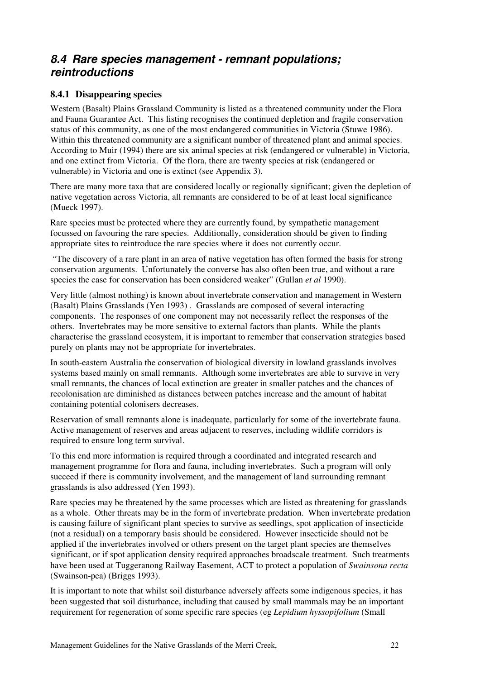## 8.4 Rare species management - remnant populations; reintroductions

### 8.4.1 Disappearing species

Western (Basalt) Plains Grassland Community is listed as a threatened community under the Flora and Fauna Guarantee Act. This listing recognises the continued depletion and fragile conservation status of this community, as one of the most endangered communities in Victoria (Stuwe 1986). Within this threatened community are a significant number of threatened plant and animal species. According to Muir (1994) there are six animal species at risk (endangered or vulnerable) in Victoria, and one extinct from Victoria. Of the flora, there are twenty species at risk (endangered or vulnerable) in Victoria and one is extinct (see Appendix 3).

There are many more taxa that are considered locally or regionally significant; given the depletion of native vegetation across Victoria, all remnants are considered to be of at least local significance (Mueck 1997).

Rare species must be protected where they are currently found, by sympathetic management focussed on favouring the rare species. Additionally, consideration should be given to finding appropriate sites to reintroduce the rare species where it does not currently occur.

 "The discovery of a rare plant in an area of native vegetation has often formed the basis for strong conservation arguments. Unfortunately the converse has also often been true, and without a rare species the case for conservation has been considered weaker" (Gullan *et al* 1990).

Very little (almost nothing) is known about invertebrate conservation and management in Western (Basalt) Plains Grasslands (Yen 1993) . Grasslands are composed of several interacting components. The responses of one component may not necessarily reflect the responses of the others. Invertebrates may be more sensitive to external factors than plants. While the plants characterise the grassland ecosystem, it is important to remember that conservation strategies based purely on plants may not be appropriate for invertebrates.

In south-eastern Australia the conservation of biological diversity in lowland grasslands involves systems based mainly on small remnants. Although some invertebrates are able to survive in very small remnants, the chances of local extinction are greater in smaller patches and the chances of recolonisation are diminished as distances between patches increase and the amount of habitat containing potential colonisers decreases.

Reservation of small remnants alone is inadequate, particularly for some of the invertebrate fauna. Active management of reserves and areas adjacent to reserves, including wildlife corridors is required to ensure long term survival.

To this end more information is required through a coordinated and integrated research and management programme for flora and fauna, including invertebrates. Such a program will only succeed if there is community involvement, and the management of land surrounding remnant grasslands is also addressed (Yen 1993).

Rare species may be threatened by the same processes which are listed as threatening for grasslands as a whole. Other threats may be in the form of invertebrate predation. When invertebrate predation is causing failure of significant plant species to survive as seedlings, spot application of insecticide (not a residual) on a temporary basis should be considered. However insecticide should not be applied if the invertebrates involved or others present on the target plant species are themselves significant, or if spot application density required approaches broadscale treatment. Such treatments have been used at Tuggeranong Railway Easement, ACT to protect a population of Swainsona recta (Swainson-pea) (Briggs 1993).

It is important to note that whilst soil disturbance adversely affects some indigenous species, it has been suggested that soil disturbance, including that caused by small mammals may be an important requirement for regeneration of some specific rare species (eg Lepidium hyssopifolium (Small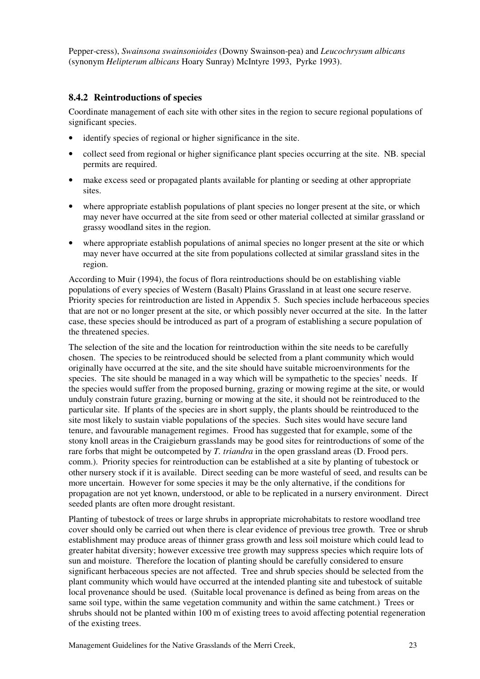Pepper-cress), Swainsona swainsonioides (Downy Swainson-pea) and Leucochrysum albicans (synonym Helipterum albicans Hoary Sunray) McIntyre 1993, Pyrke 1993).

### 8.4.2 Reintroductions of species

Coordinate management of each site with other sites in the region to secure regional populations of significant species.

- identify species of regional or higher significance in the site.
- collect seed from regional or higher significance plant species occurring at the site. NB. special permits are required.
- make excess seed or propagated plants available for planting or seeding at other appropriate sites.
- where appropriate establish populations of plant species no longer present at the site, or which may never have occurred at the site from seed or other material collected at similar grassland or grassy woodland sites in the region.
- where appropriate establish populations of animal species no longer present at the site or which may never have occurred at the site from populations collected at similar grassland sites in the region.

According to Muir (1994), the focus of flora reintroductions should be on establishing viable populations of every species of Western (Basalt) Plains Grassland in at least one secure reserve. Priority species for reintroduction are listed in Appendix 5. Such species include herbaceous species that are not or no longer present at the site, or which possibly never occurred at the site. In the latter case, these species should be introduced as part of a program of establishing a secure population of the threatened species.

The selection of the site and the location for reintroduction within the site needs to be carefully chosen. The species to be reintroduced should be selected from a plant community which would originally have occurred at the site, and the site should have suitable microenvironments for the species. The site should be managed in a way which will be sympathetic to the species' needs. If the species would suffer from the proposed burning, grazing or mowing regime at the site, or would unduly constrain future grazing, burning or mowing at the site, it should not be reintroduced to the particular site. If plants of the species are in short supply, the plants should be reintroduced to the site most likely to sustain viable populations of the species. Such sites would have secure land tenure, and favourable management regimes. Frood has suggested that for example, some of the stony knoll areas in the Craigieburn grasslands may be good sites for reintroductions of some of the rare forbs that might be outcompeted by T. triandra in the open grassland areas (D. Frood pers. comm.). Priority species for reintroduction can be established at a site by planting of tubestock or other nursery stock if it is available. Direct seeding can be more wasteful of seed, and results can be more uncertain. However for some species it may be the only alternative, if the conditions for propagation are not yet known, understood, or able to be replicated in a nursery environment. Direct seeded plants are often more drought resistant.

Planting of tubestock of trees or large shrubs in appropriate microhabitats to restore woodland tree cover should only be carried out when there is clear evidence of previous tree growth. Tree or shrub establishment may produce areas of thinner grass growth and less soil moisture which could lead to greater habitat diversity; however excessive tree growth may suppress species which require lots of sun and moisture. Therefore the location of planting should be carefully considered to ensure significant herbaceous species are not affected. Tree and shrub species should be selected from the plant community which would have occurred at the intended planting site and tubestock of suitable local provenance should be used. (Suitable local provenance is defined as being from areas on the same soil type, within the same vegetation community and within the same catchment.) Trees or shrubs should not be planted within 100 m of existing trees to avoid affecting potential regeneration of the existing trees.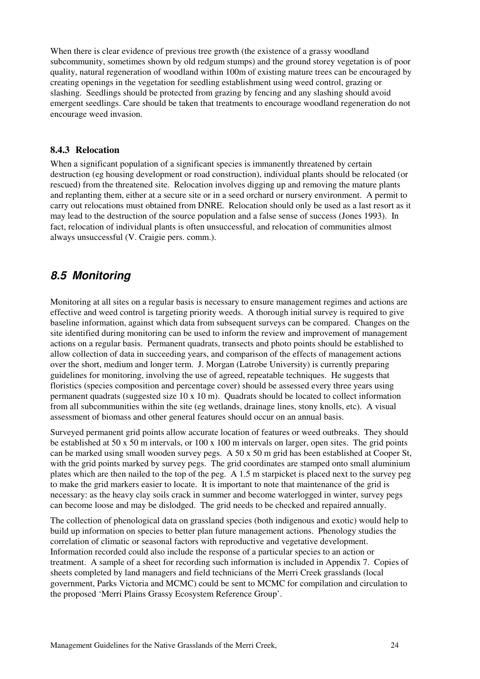When there is clear evidence of previous tree growth (the existence of a grassy woodland subcommunity, sometimes shown by old redgum stumps) and the ground storey vegetation is of poor quality, natural regeneration of woodland within 100m of existing mature trees can be encouraged by creating openings in the vegetation for seedling establishment using weed control, grazing or slashing. Seedlings should be protected from grazing by fencing and any slashing should avoid emergent seedlings. Care should be taken that treatments to encourage woodland regeneration do not encourage weed invasion.

#### 8.4.3 Relocation

When a significant population of a significant species is immanently threatened by certain destruction (eg housing development or road construction), individual plants should be relocated (or rescued) from the threatened site. Relocation involves digging up and removing the mature plants and replanting them, either at a secure site or in a seed orchard or nursery environment. A permit to carry out relocations must obtained from DNRE. Relocation should only be used as a last resort as it may lead to the destruction of the source population and a false sense of success (Jones 1993). In fact, relocation of individual plants is often unsuccessful, and relocation of communities almost always unsuccessful (V. Craigie pers. comm.).

## 8.5 Monitoring

Monitoring at all sites on a regular basis is necessary to ensure management regimes and actions are effective and weed control is targeting priority weeds. A thorough initial survey is required to give baseline information, against which data from subsequent surveys can be compared. Changes on the site identified during monitoring can be used to inform the review and improvement of management actions on a regular basis. Permanent quadrats, transects and photo points should be established to allow collection of data in succeeding years, and comparison of the effects of management actions over the short, medium and longer term. J. Morgan (Latrobe University) is currently preparing guidelines for monitoring, involving the use of agreed, repeatable techniques. He suggests that floristics (species composition and percentage cover) should be assessed every three years using permanent quadrats (suggested size  $10 \times 10 \text{ m}$ ). Quadrats should be located to collect information from all subcommunities within the site (eg wetlands, drainage lines, stony knolls, etc). A visual assessment of biomass and other general features should occur on an annual basis.

Surveyed permanent grid points allow accurate location of features or weed outbreaks. They should be established at 50 x 50 m intervals, or 100 x 100 m intervals on larger, open sites. The grid points can be marked using small wooden survey pegs. A 50 x 50 m grid has been established at Cooper St, with the grid points marked by survey pegs. The grid coordinates are stamped onto small aluminium plates which are then nailed to the top of the peg. A 1.5 m starpicket is placed next to the survey peg to make the grid markers easier to locate. It is important to note that maintenance of the grid is necessary: as the heavy clay soils crack in summer and become waterlogged in winter, survey pegs can become loose and may be dislodged. The grid needs to be checked and repaired annually.

The collection of phenological data on grassland species (both indigenous and exotic) would help to build up information on species to better plan future management actions. Phenology studies the correlation of climatic or seasonal factors with reproductive and vegetative development. Information recorded could also include the response of a particular species to an action or treatment. A sample of a sheet for recording such information is included in Appendix 7. Copies of sheets completed by land managers and field technicians of the Merri Creek grasslands (local government, Parks Victoria and MCMC) could be sent to MCMC for compilation and circulation to the proposed 'Merri Plains Grassy Ecosystem Reference Group'.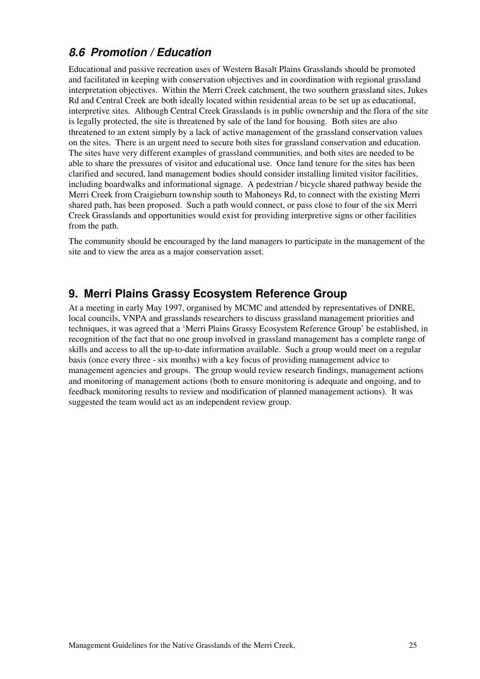# 8.6 Promotion / Education

Educational and passive recreation uses of Western Basalt Plains Grasslands should be promoted and facilitated in keeping with conservation objectives and in coordination with regional grassland interpretation objectives. Within the Merri Creek catchment, the two southern grassland sites, Jukes Rd and Central Creek are both ideally located within residential areas to be set up as educational, interpretive sites. Although Central Creek Grasslands is in public ownership and the flora of the site is legally protected, the site is threatened by sale of the land for housing. Both sites are also threatened to an extent simply by a lack of active management of the grassland conservation values on the sites. There is an urgent need to secure both sites for grassland conservation and education. The sites have very different examples of grassland communities, and both sites are needed to be able to share the pressures of visitor and educational use. Once land tenure for the sites has been clarified and secured, land management bodies should consider installing limited visitor facilities, including boardwalks and informational signage. A pedestrian / bicycle shared pathway beside the Merri Creek from Craigieburn township south to Mahoneys Rd, to connect with the existing Merri shared path, has been proposed. Such a path would connect, or pass close to four of the six Merri Creek Grasslands and opportunities would exist for providing interpretive signs or other facilities from the path.

The community should be encouraged by the land managers to participate in the management of the site and to view the area as a major conservation asset.

## 9. Merri Plains Grassy Ecosystem Reference Group

At a meeting in early May 1997, organised by MCMC and attended by representatives of DNRE, local councils, VNPA and grasslands researchers to discuss grassland management priorities and techniques, it was agreed that a 'Merri Plains Grassy Ecosystem Reference Group' be established, in recognition of the fact that no one group involved in grassland management has a complete range of skills and access to all the up-to-date information available. Such a group would meet on a regular basis (once every three - six months) with a key focus of providing management advice to management agencies and groups. The group would review research findings, management actions and monitoring of management actions (both to ensure monitoring is adequate and ongoing, and to feedback monitoring results to review and modification of planned management actions). It was suggested the team would act as an independent review group.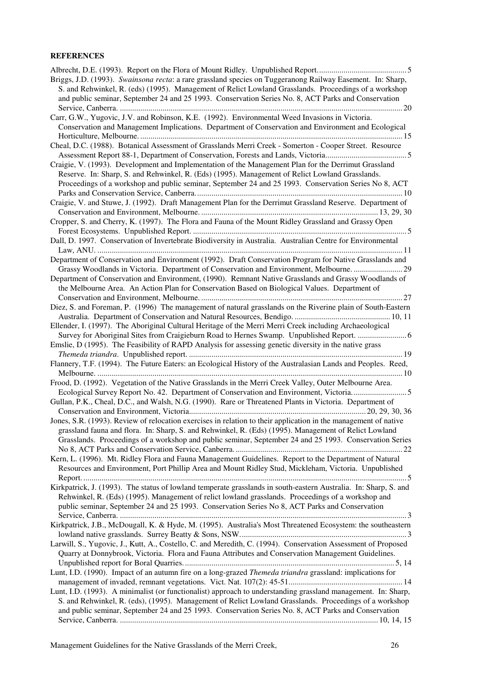#### **REFERENCES**

| Briggs, J.D. (1993). Swainsona recta: a rare grassland species on Tuggeranong Railway Easement. In: Sharp,       |
|------------------------------------------------------------------------------------------------------------------|
| S. and Rehwinkel, R. (eds) (1995). Management of Relict Lowland Grasslands. Proceedings of a workshop            |
| and public seminar, September 24 and 25 1993. Conservation Series No. 8, ACT Parks and Conservation              |
|                                                                                                                  |
| Carr, G.W., Yugovic, J.V. and Robinson, K.E. (1992). Environmental Weed Invasions in Victoria.                   |
| Conservation and Management Implications. Department of Conservation and Environment and Ecological              |
|                                                                                                                  |
| Cheal, D.C. (1988). Botanical Assessment of Grasslands Merri Creek - Somerton - Cooper Street. Resource          |
|                                                                                                                  |
| Craigie, V. (1993). Development and Implementation of the Management Plan for the Derrimut Grassland             |
| Reserve. In: Sharp, S. and Rehwinkel, R. (Eds) (1995). Management of Relict Lowland Grasslands.                  |
| Proceedings of a workshop and public seminar, September 24 and 25 1993. Conservation Series No 8, ACT            |
|                                                                                                                  |
| Craigie, V. and Stuwe, J. (1992). Draft Management Plan for the Derrimut Grassland Reserve. Department of        |
|                                                                                                                  |
| Cropper, S. and Cherry, K. (1997). The Flora and Fauna of the Mount Ridley Grassland and Grassy Open             |
|                                                                                                                  |
| Dall, D. 1997. Conservation of Invertebrate Biodiversity in Australia. Australian Centre for Environmental       |
|                                                                                                                  |
| Department of Conservation and Environment (1992). Draft Conservation Program for Native Grasslands and          |
|                                                                                                                  |
| Grassy Woodlands in Victoria. Department of Conservation and Environment, Melbourne. 29                          |
| Department of Conservation and Environment, (1990). Remnant Native Grasslands and Grassy Woodlands of            |
| the Melbourne Area. An Action Plan for Conservation Based on Biological Values. Department of                    |
|                                                                                                                  |
| Diez, S. and Foreman, P. (1996) The management of natural grasslands on the Riverine plain of South-Eastern      |
|                                                                                                                  |
| Ellender, I. (1997). The Aboriginal Cultural Heritage of the Merri Merri Creek including Archaeological          |
|                                                                                                                  |
| Emslie, D (1995). The Feasibility of RAPD Analysis for assessing genetic diversity in the native grass           |
|                                                                                                                  |
| Flannery, T.F. (1994). The Future Eaters: an Ecological History of the Australasian Lands and Peoples. Reed,     |
|                                                                                                                  |
| Frood, D. (1992). Vegetation of the Native Grasslands in the Merri Creek Valley, Outer Melbourne Area.           |
| Ecological Survey Report No. 42. Department of Conservation and Environment, Victoria5                           |
| Gullan, P.K., Cheal, D.C., and Walsh, N.G. (1990). Rare or Threatened Plants in Victoria. Department of          |
|                                                                                                                  |
| Jones, S.R. (1993). Review of relocation exercises in relation to their application in the management of native  |
| grassland fauna and flora. In: Sharp, S. and Rehwinkel, R. (Eds) (1995). Management of Relict Lowland            |
| Grasslands. Proceedings of a workshop and public seminar, September 24 and 25 1993. Conservation Series          |
|                                                                                                                  |
| Kern, L. (1996). Mt. Ridley Flora and Fauna Management Guidelines. Report to the Department of Natural           |
| Resources and Environment, Port Phillip Area and Mount Ridley Stud, Mickleham, Victoria. Unpublished             |
|                                                                                                                  |
| Kirkpatrick, J. (1993). The status of lowland temperate grasslands in south-eastern Australia. In: Sharp, S. and |
| Rehwinkel, R. (Eds) (1995). Management of relict lowland grasslands. Proceedings of a workshop and               |
| public seminar, September 24 and 25 1993. Conservation Series No 8, ACT Parks and Conservation                   |
|                                                                                                                  |
| Kirkpatrick, J.B., McDougall, K. & Hyde, M. (1995). Australia's Most Threatened Ecosystem: the southeastern      |
|                                                                                                                  |
| Larwill, S., Yugovic, J., Kutt, A., Costello, C. and Meredith, C. (1994). Conservation Assessment of Proposed    |
| Quarry at Donnybrook, Victoria. Flora and Fauna Attributes and Conservation Management Guidelines.               |
|                                                                                                                  |
| Lunt, I.D. (1990). Impact of an autumn fire on a long-grazed Themeda triandra grassland: implications for        |
|                                                                                                                  |
| Lunt, I.D. (1993). A minimalist (or functionalist) approach to understanding grassland management. In: Sharp,    |
| S. and Rehwinkel, R. (eds), (1995). Management of Relict Lowland Grasslands. Proceedings of a workshop           |
| and public seminar, September 24 and 25 1993. Conservation Series No. 8, ACT Parks and Conservation              |
|                                                                                                                  |
|                                                                                                                  |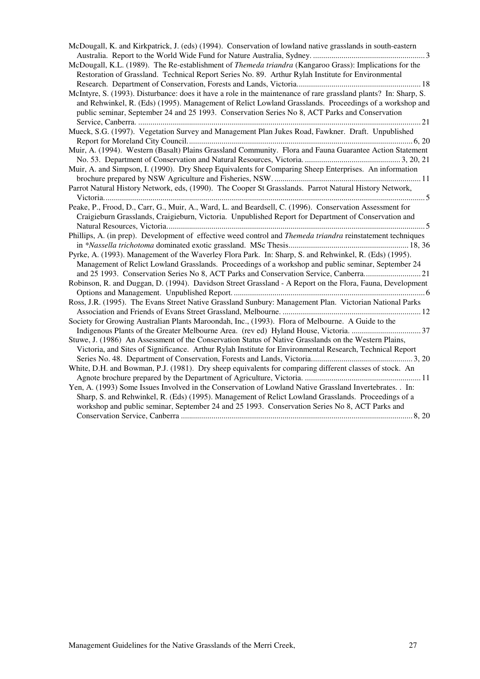| McDougall, K. and Kirkpatrick, J. (eds) (1994). Conservation of lowland native grasslands in south-eastern                                                                                                                                                                                                                   |
|------------------------------------------------------------------------------------------------------------------------------------------------------------------------------------------------------------------------------------------------------------------------------------------------------------------------------|
|                                                                                                                                                                                                                                                                                                                              |
| McDougall, K.L. (1989). The Re-establishment of Themeda triandra (Kangaroo Grass): Implications for the<br>Restoration of Grassland. Technical Report Series No. 89. Arthur Rylah Institute for Environmental                                                                                                                |
| McIntyre, S. (1993). Disturbance: does it have a role in the maintenance of rare grassland plants? In: Sharp, S.<br>and Rehwinkel, R. (Eds) (1995). Management of Relict Lowland Grasslands. Proceedings of a workshop and<br>public seminar, September 24 and 25 1993. Conservation Series No 8, ACT Parks and Conservation |
| Mueck, S.G. (1997). Vegetation Survey and Management Plan Jukes Road, Fawkner. Draft. Unpublished                                                                                                                                                                                                                            |
|                                                                                                                                                                                                                                                                                                                              |
| Muir, A. (1994). Western (Basalt) Plains Grassland Community. Flora and Fauna Guarantee Action Statement                                                                                                                                                                                                                     |
|                                                                                                                                                                                                                                                                                                                              |
| Muir, A. and Simpson, I. (1990). Dry Sheep Equivalents for Comparing Sheep Enterprises. An information                                                                                                                                                                                                                       |
| Parrot Natural History Network, eds, (1990). The Cooper St Grasslands. Parrot Natural History Network,                                                                                                                                                                                                                       |
|                                                                                                                                                                                                                                                                                                                              |
| Peake, P., Frood, D., Carr, G., Muir, A., Ward, L. and Beardsell, C. (1996). Conservation Assessment for                                                                                                                                                                                                                     |
| Craigieburn Grasslands, Craigieburn, Victoria. Unpublished Report for Department of Conservation and                                                                                                                                                                                                                         |
| Phillips, A. (in prep). Development of effective weed control and <i>Themeda triandra</i> reinstatement techniques                                                                                                                                                                                                           |
| Pyrke, A. (1993). Management of the Waverley Flora Park. In: Sharp, S. and Rehwinkel, R. (Eds) (1995).<br>Management of Relict Lowland Grasslands. Proceedings of a workshop and public seminar, September 24<br>and 25 1993. Conservation Series No 8, ACT Parks and Conservation Service, Canberra21                       |
| Robinson, R. and Duggan, D. (1994). Davidson Street Grassland - A Report on the Flora, Fauna, Development                                                                                                                                                                                                                    |
| Ross, J.R. (1995). The Evans Street Native Grassland Sunbury: Management Plan. Victorian National Parks                                                                                                                                                                                                                      |
| Society for Growing Australian Plants Maroondah, Inc., (1993). Flora of Melbourne. A Guide to the                                                                                                                                                                                                                            |
| Stuwe, J. (1986) An Assessment of the Conservation Status of Native Grasslands on the Western Plains,                                                                                                                                                                                                                        |
| Victoria, and Sites of Significance. Arthur Rylah Institute for Environmental Research, Technical Report                                                                                                                                                                                                                     |
| White, D.H. and Bowman, P.J. (1981). Dry sheep equivalents for comparing different classes of stock. An                                                                                                                                                                                                                      |
|                                                                                                                                                                                                                                                                                                                              |
| Yen, A. (1993) Some Issues Involved in the Conservation of Lowland Native Grassland Invertebrates. . In:                                                                                                                                                                                                                     |
| Sharp, S. and Rehwinkel, R. (Eds) (1995). Management of Relict Lowland Grasslands. Proceedings of a<br>workshop and public seminar, September 24 and 25 1993. Conservation Series No 8, ACT Parks and                                                                                                                        |
|                                                                                                                                                                                                                                                                                                                              |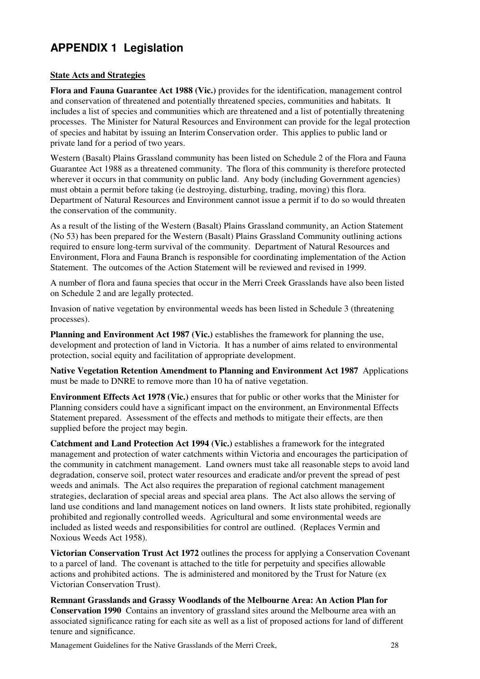# APPENDIX 1 Legislation

### State Acts and Strategies

Flora and Fauna Guarantee Act 1988 (Vic.) provides for the identification, management control and conservation of threatened and potentially threatened species, communities and habitats. It includes a list of species and communities which are threatened and a list of potentially threatening processes. The Minister for Natural Resources and Environment can provide for the legal protection of species and habitat by issuing an Interim Conservation order. This applies to public land or private land for a period of two years.

Western (Basalt) Plains Grassland community has been listed on Schedule 2 of the Flora and Fauna Guarantee Act 1988 as a threatened community. The flora of this community is therefore protected wherever it occurs in that community on public land. Any body (including Government agencies) must obtain a permit before taking (ie destroying, disturbing, trading, moving) this flora. Department of Natural Resources and Environment cannot issue a permit if to do so would threaten the conservation of the community.

As a result of the listing of the Western (Basalt) Plains Grassland community, an Action Statement (No 53) has been prepared for the Western (Basalt) Plains Grassland Community outlining actions required to ensure long-term survival of the community. Department of Natural Resources and Environment, Flora and Fauna Branch is responsible for coordinating implementation of the Action Statement. The outcomes of the Action Statement will be reviewed and revised in 1999.

A number of flora and fauna species that occur in the Merri Creek Grasslands have also been listed on Schedule 2 and are legally protected.

Invasion of native vegetation by environmental weeds has been listed in Schedule 3 (threatening processes).

Planning and Environment Act 1987 (Vic.) establishes the framework for planning the use, development and protection of land in Victoria. It has a number of aims related to environmental protection, social equity and facilitation of appropriate development.

Native Vegetation Retention Amendment to Planning and Environment Act 1987 Applications must be made to DNRE to remove more than 10 ha of native vegetation.

Environment Effects Act 1978 (Vic.) ensures that for public or other works that the Minister for Planning considers could have a significant impact on the environment, an Environmental Effects Statement prepared. Assessment of the effects and methods to mitigate their effects, are then supplied before the project may begin.

Catchment and Land Protection Act 1994 (Vic.) establishes a framework for the integrated management and protection of water catchments within Victoria and encourages the participation of the community in catchment management. Land owners must take all reasonable steps to avoid land degradation, conserve soil, protect water resources and eradicate and/or prevent the spread of pest weeds and animals. The Act also requires the preparation of regional catchment management strategies, declaration of special areas and special area plans. The Act also allows the serving of land use conditions and land management notices on land owners. It lists state prohibited, regionally prohibited and regionally controlled weeds. Agricultural and some environmental weeds are included as listed weeds and responsibilities for control are outlined. (Replaces Vermin and Noxious Weeds Act 1958).

Victorian Conservation Trust Act 1972 outlines the process for applying a Conservation Covenant to a parcel of land. The covenant is attached to the title for perpetuity and specifies allowable actions and prohibited actions. The is administered and monitored by the Trust for Nature (ex Victorian Conservation Trust).

Remnant Grasslands and Grassy Woodlands of the Melbourne Area: An Action Plan for Conservation 1990 Contains an inventory of grassland sites around the Melbourne area with an associated significance rating for each site as well as a list of proposed actions for land of different tenure and significance.

Management Guidelines for the Native Grasslands of the Merri Creek, 28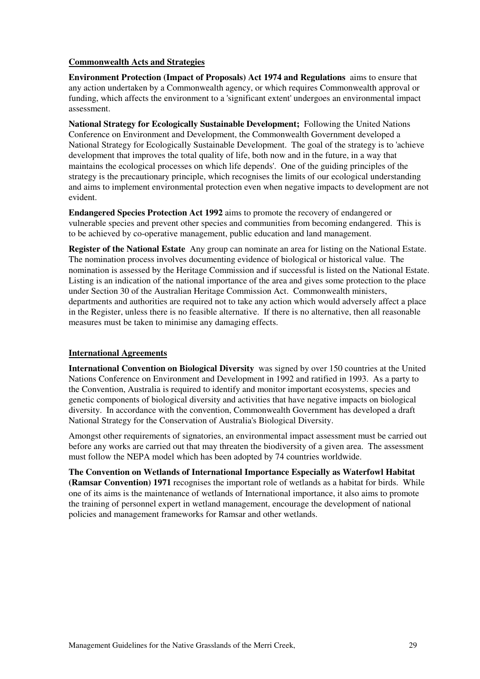#### Commonwealth Acts and Strategies

Environment Protection (Impact of Proposals) Act 1974 and Regulations aims to ensure that any action undertaken by a Commonwealth agency, or which requires Commonwealth approval or funding, which affects the environment to a 'significant extent' undergoes an environmental impact assessment.

National Strategy for Ecologically Sustainable Development; Following the United Nations Conference on Environment and Development, the Commonwealth Government developed a National Strategy for Ecologically Sustainable Development. The goal of the strategy is to 'achieve development that improves the total quality of life, both now and in the future, in a way that maintains the ecological processes on which life depends'. One of the guiding principles of the strategy is the precautionary principle, which recognises the limits of our ecological understanding and aims to implement environmental protection even when negative impacts to development are not evident.

Endangered Species Protection Act 1992 aims to promote the recovery of endangered or vulnerable species and prevent other species and communities from becoming endangered. This is to be achieved by co-operative management, public education and land management.

Register of the National Estate Any group can nominate an area for listing on the National Estate. The nomination process involves documenting evidence of biological or historical value. The nomination is assessed by the Heritage Commission and if successful is listed on the National Estate. Listing is an indication of the national importance of the area and gives some protection to the place under Section 30 of the Australian Heritage Commission Act. Commonwealth ministers, departments and authorities are required not to take any action which would adversely affect a place in the Register, unless there is no feasible alternative. If there is no alternative, then all reasonable measures must be taken to minimise any damaging effects.

#### International Agreements

International Convention on Biological Diversity was signed by over 150 countries at the United Nations Conference on Environment and Development in 1992 and ratified in 1993. As a party to the Convention, Australia is required to identify and monitor important ecosystems, species and genetic components of biological diversity and activities that have negative impacts on biological diversity. In accordance with the convention, Commonwealth Government has developed a draft National Strategy for the Conservation of Australia's Biological Diversity.

Amongst other requirements of signatories, an environmental impact assessment must be carried out before any works are carried out that may threaten the biodiversity of a given area. The assessment must follow the NEPA model which has been adopted by 74 countries worldwide.

The Convention on Wetlands of International Importance Especially as Waterfowl Habitat (Ramsar Convention) 1971 recognises the important role of wetlands as a habitat for birds. While one of its aims is the maintenance of wetlands of International importance, it also aims to promote the training of personnel expert in wetland management, encourage the development of national policies and management frameworks for Ramsar and other wetlands.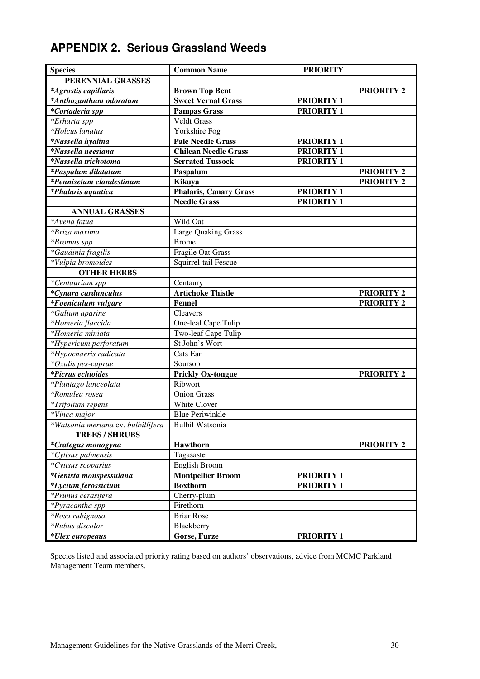| <b>APPENDIX 2. Serious Grassland Weeds</b> |  |  |  |
|--------------------------------------------|--|--|--|
|--------------------------------------------|--|--|--|

| <b>Species</b>                            | <b>Common Name</b>          | <b>PRIORITY</b>   |
|-------------------------------------------|-----------------------------|-------------------|
| PERENNIAL GRASSES                         |                             |                   |
| *Agrostis capillaris                      | <b>Brown Top Bent</b>       | <b>PRIORITY 2</b> |
| *Anthozanthum odoratum                    | <b>Sweet Vernal Grass</b>   | <b>PRIORITY 1</b> |
| *Cortaderia spp                           | <b>Pampas Grass</b>         | <b>PRIORITY 1</b> |
| *Erharta spp                              | <b>Veldt Grass</b>          |                   |
| <i>*Holcus lanatus</i>                    | Yorkshire Fog               |                   |
| *Nassella hyalina                         | <b>Pale Needle Grass</b>    | <b>PRIORITY 1</b> |
| <i>*Nassella neesiana</i>                 | <b>Chilean Needle Grass</b> | <b>PRIORITY 1</b> |
| <i>*Nassella trichotoma</i>               | <b>Serrated Tussock</b>     | <b>PRIORITY 1</b> |
| <i>*Paspalum dilatatum</i>                | Paspalum                    | <b>PRIORITY 2</b> |
| $\overline{\ast}$ Pennisetum clandestinum | Kikuya                      | <b>PRIORITY 2</b> |
| *Phalaris aquatica                        | Phalaris, Canary Grass      | <b>PRIORITY 1</b> |
|                                           | <b>Needle Grass</b>         | <b>PRIORITY 1</b> |
| <b>ANNUAL GRASSES</b>                     |                             |                   |
| *Avena fatua                              | Wild Oat                    |                   |
| *Briza maxima                             | <b>Large Quaking Grass</b>  |                   |
| *Bromus spp                               | <b>Brome</b>                |                   |
| *Gaudinia fragilis                        | Fragile Oat Grass           |                   |
| *Vulpia bromoides                         | Squirrel-tail Fescue        |                   |
| <b>OTHER HERBS</b>                        |                             |                   |
| *Centaurium spp                           | Centaury                    |                   |
| *Cynara cardunculus                       | <b>Artichoke Thistle</b>    | <b>PRIORITY 2</b> |
| $\sqrt[k]{10}$ eniculum vulgare           | Fennel                      | <b>PRIORITY 2</b> |
| *Galium aparine                           | Cleavers                    |                   |
| *Homeria flaccida                         | One-leaf Cape Tulip         |                   |
| *Homeria miniata                          | Two-leaf Cape Tulip         |                   |
| *Hypericum perforatum                     | St John's Wort              |                   |
| *Hypochaeris radicata                     | Cats Ear                    |                   |
| *Oxalis pes-caprae                        | Soursob                     |                   |
| <i>*Picrus echioides</i>                  | <b>Prickly Ox-tongue</b>    | <b>PRIORITY 2</b> |
| *Plantago lanceolata                      | Ribwort                     |                   |
| <i>*Romulea rosea</i>                     | <b>Onion Grass</b>          |                   |
| *Trifolium repens                         | White Clover                |                   |
| *Vinca major                              | <b>Blue Periwinkle</b>      |                   |
| *Watsonia meriana cv. bulbillifera        | Bulbil Watsonia             |                   |
| <b>TREES / SHRUBS</b>                     |                             |                   |
| *Crategus monogyna                        | Hawthorn                    | <b>PRIORITY 2</b> |
| *Cytisus palmensis                        | Tagasaste                   |                   |
| *Cytisus scoparius                        | English Broom               |                   |
| *Genista monspessulana                    | <b>Montpellier Broom</b>    | <b>PRIORITY 1</b> |
| <i>*Lycium ferossicium</i>                | <b>Boxthorn</b>             | <b>PRIORITY 1</b> |
| *Prunus cerasifera                        | Cherry-plum                 |                   |
| *Pyracantha spp                           | Firethorn                   |                   |
| <i>*Rosa rubignosa</i>                    | <b>Briar Rose</b>           |                   |
| <i>*Rubus discolor</i>                    | Blackberry                  |                   |
| <i>*Ulex europeaus</i>                    | Gorse, Furze                | <b>PRIORITY 1</b> |

Species listed and associated priority rating based on authors' observations, advice from MCMC Parkland Management Team members.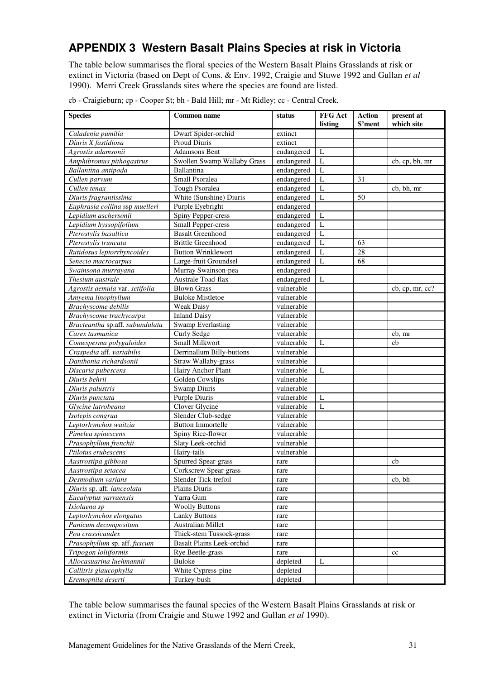# APPENDIX 3 Western Basalt Plains Species at risk in Victoria

The table below summarises the floral species of the Western Basalt Plains Grasslands at risk or extinct in Victoria (based on Dept of Cons. & Env. 1992, Craigie and Stuwe 1992 and Gullan et al 1990). Merri Creek Grasslands sites where the species are found are listed.

| <b>Species</b>                  | <b>Common name</b>               | status     | FFG Act<br>listing | <b>Action</b><br>S'ment | present at<br>which site |
|---------------------------------|----------------------------------|------------|--------------------|-------------------------|--------------------------|
| Caladenia pumilia               | Dwarf Spider-orchid              | extinct    |                    |                         |                          |
| Diuris X fastidiosa             | <b>Proud Diuris</b>              | extinct    |                    |                         |                          |
| Agrostis adamsonii              | <b>Adamsons Bent</b>             | endangered | L                  |                         |                          |
| Amphibromus pithogastrus        | Swollen Swamp Wallaby Grass      | endangered | L                  |                         | cb, cp, bh, mr           |
| Ballantina antipoda             | Ballantina                       | endangered | $\mathbf{L}$       |                         |                          |
| Cullen parvum                   | <b>Small Psoralea</b>            | endangered | $\mathbf L$        | 31                      |                          |
| Cullen tenax                    | Tough Psoralea                   | endangered | $\mathbf{L}$       |                         | cb, bh, mr               |
| Diuris fragrantissima           | White (Sunshine) Diuris          | endangered | $\mathbf{L}$       | 50                      |                          |
| Euphrasia collina ssp muelleri  | Purple Eyebright                 | endangered |                    |                         |                          |
| Lepidium aschersonii            | Spiny Pepper-cress               | endangered | L                  |                         |                          |
| Lepidium hyssopifolium          | <b>Small Pepper-cress</b>        | endangered | L                  |                         |                          |
| Pterostylis basaltica           | <b>Basalt Greenhood</b>          | endangered | L                  |                         |                          |
| Pterostylis truncata            | <b>Brittle Greenhood</b>         | endangered | L                  | 63                      |                          |
| Rutidosus leptorrhyncoides      | <b>Button Wrinklewort</b>        | endangered | $\mathbf{L}$       | 28                      |                          |
| Senecio macrocarpus             | Large-fruit Groundsel            | endangered | $\mathbf{L}$       | 68                      |                          |
| Swainsona murrayana             | Murray Swainson-pea              | endangered |                    |                         |                          |
| Thesium australe                | <b>Australe Toad-flax</b>        | endangered | L                  |                         |                          |
| Agrostis aemula var. setifolia  | <b>Blown Grass</b>               | vulnerable |                    |                         | $cb$ , cp, mr, cc?       |
| Amyema linophyllum              | <b>Buloke Mistletoe</b>          | vulnerable |                    |                         |                          |
| Brachyscome debilis             | <b>Weak Daisy</b>                | vulnerable |                    |                         |                          |
| Brachyscome trachycarpa         | <b>Inland Daisy</b>              | vulnerable |                    |                         |                          |
| Bracteantha sp.aff. subundulata | <b>Swamp Everlasting</b>         | vulnerable |                    |                         |                          |
| Carex tasmanica                 | Curly Sedge                      | vulnerable |                    |                         | cb, mr                   |
| Comesperma polygaloides         | Small Milkwort                   | vulnerable | $\mathbf{L}$       |                         | cb                       |
| Craspedia aff. variabilis       | Derrinallum Billy-buttons        | vulnerable |                    |                         |                          |
| Danthonia richardsonii          | Straw Wallaby-grass              | vulnerable |                    |                         |                          |
| Discaria pubescens              | Hairy Anchor Plant               | vulnerable | L                  |                         |                          |
| Diuris behrii                   | Golden Cowslips                  | vulnerable |                    |                         |                          |
| Diuris palustris                | Swamp Diuris                     | vulnerable |                    |                         |                          |
| Diuris punctata                 | <b>Purple Diuris</b>             | vulnerable | L                  |                         |                          |
| Glycine latrobeana              | Clover Glycine                   | vulnerable | L                  |                         |                          |
| Isolepis congrua                | Slender Club-sedge               | vulnerable |                    |                         |                          |
| Leptorhynchos waitzia           | <b>Button Immortelle</b>         | vulnerable |                    |                         |                          |
| Pimelea spinescens              | Spiny Rice-flower                | vulnerable |                    |                         |                          |
| Prasophyllum frenchii           | Slaty Leek-orchid                | vulnerable |                    |                         |                          |
| Ptilotus erubescens             | Hairy-tails                      | vulnerable |                    |                         |                          |
| Austrostipa gibbosa             | Spurred Spear-grass              | rare       |                    |                         | cb                       |
| Austrostipa setacea             | Corkscrew Spear-grass            | rare       |                    |                         |                          |
| Desmodium varians               | Slender Tick-trefoil             | rare       |                    |                         | cb, bh                   |
| Diuris sp. aff. lanceolata      | Plains Diuris                    | rare       |                    |                         |                          |
| Eucalyptus yarraensis           | Yarra Gum                        | rare       |                    |                         |                          |
| Ixiolaena sp                    | <b>Woolly Buttons</b>            | rare       |                    |                         |                          |
| Leptorhynchos elongatus         | <b>Lanky Buttons</b>             | rare       |                    |                         |                          |
| Panicum decompositum            | Australian Millet                | rare       |                    |                         |                          |
| Poa crassicaudex                | Thick-stem Tussock-grass         | rare       |                    |                         |                          |
| Prasophyllum sp. aff. fuscum    | <b>Basalt Plains Leek-orchid</b> | rare       |                    |                         |                          |
| Tripogon loliiformis            | Rye Beetle-grass                 | rare       |                    |                         | cc                       |
| Allocasuarina luehmannii        | Buloke                           | depleted   | L                  |                         |                          |
| Callitris glaucophylla          | White Cypress-pine               | depleted   |                    |                         |                          |
| Eremophila deserti              | Turkey-bush                      | depleted   |                    |                         |                          |

cb - Craigieburn; cp - Cooper St; bh - Bald Hill; mr - Mt Ridley; cc - Central Creek.

The table below summarises the faunal species of the Western Basalt Plains Grasslands at risk or extinct in Victoria (from Craigie and Stuwe 1992 and Gullan et al 1990).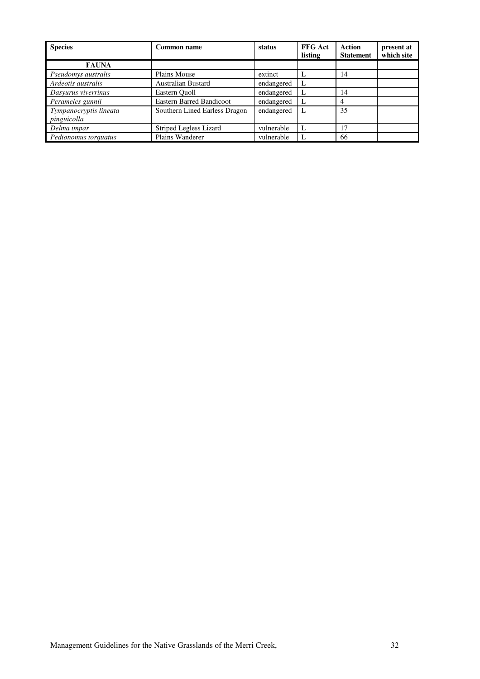| <b>Species</b>                        | Common name                     | status     | <b>FFG Act</b><br>listing | Action<br><b>Statement</b> | present at<br>which site |
|---------------------------------------|---------------------------------|------------|---------------------------|----------------------------|--------------------------|
| <b>FAUNA</b>                          |                                 |            |                           |                            |                          |
| Pseudomys australis                   | Plains Mouse                    | extinct    |                           | 14                         |                          |
| Ardeotis australis                    | Australian Bustard              | endangered |                           |                            |                          |
| Dasyurus viverrinus                   | Eastern Ouoll                   | endangered |                           | 14                         |                          |
| Perameles gunnii                      | <b>Eastern Barred Bandicoot</b> | endangered |                           | 4                          |                          |
| Tympanocryptis lineata<br>pinguicolla | Southern Lined Earless Dragon   | endangered | L                         | 35                         |                          |
| Delma impar                           | Striped Legless Lizard          | vulnerable |                           | 17                         |                          |
| Pedionomus torquatus                  | Plains Wanderer                 | vulnerable |                           | 66                         |                          |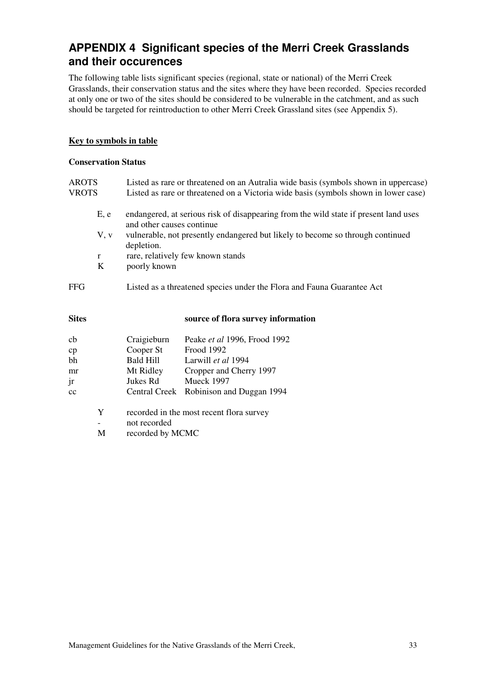# APPENDIX 4 Significant species of the Merri Creek Grasslands and their occurences

The following table lists significant species (regional, state or national) of the Merri Creek Grasslands, their conservation status and the sites where they have been recorded. Species recorded at only one or two of the sites should be considered to be vulnerable in the catchment, and as such should be targeted for reintroduction to other Merri Creek Grassland sites (see Appendix 5).

#### Key to symbols in table

#### Conservation Status

| <b>AROTS</b><br><b>VROTS</b> |                                         |                                                                                                                                                                                                                                                                         | Listed as rare or threatened on an Autralia wide basis (symbols shown in uppercase)<br>Listed as rare or threatened on a Victoria wide basis (symbols shown in lower case) |  |  |  |  |
|------------------------------|-----------------------------------------|-------------------------------------------------------------------------------------------------------------------------------------------------------------------------------------------------------------------------------------------------------------------------|----------------------------------------------------------------------------------------------------------------------------------------------------------------------------|--|--|--|--|
|                              | E, e<br>V, v<br>$\mathbf{r}$<br>$\bf K$ | endangered, at serious risk of disappearing from the wild state if present land uses<br>and other causes continue.<br>vulnerable, not presently endangered but likely to become so through continued<br>depletion.<br>rare, relatively few known stands<br>poorly known |                                                                                                                                                                            |  |  |  |  |
| FFG                          |                                         | Listed as a threatened species under the Flora and Fauna Guarantee Act                                                                                                                                                                                                  |                                                                                                                                                                            |  |  |  |  |
| <b>Sites</b>                 |                                         |                                                                                                                                                                                                                                                                         | source of flora survey information                                                                                                                                         |  |  |  |  |
| cb                           |                                         | Craigieburn                                                                                                                                                                                                                                                             | Peake et al 1996, Frood 1992                                                                                                                                               |  |  |  |  |
| cp                           |                                         | Cooper St                                                                                                                                                                                                                                                               | Frood 1992                                                                                                                                                                 |  |  |  |  |
| bh                           |                                         | <b>Bald Hill</b>                                                                                                                                                                                                                                                        | Larwill et al 1994                                                                                                                                                         |  |  |  |  |
| mr                           |                                         | Mt Ridley                                                                                                                                                                                                                                                               | Cropper and Cherry 1997                                                                                                                                                    |  |  |  |  |
| jr                           |                                         | Jukes Rd                                                                                                                                                                                                                                                                | Mueck 1997                                                                                                                                                                 |  |  |  |  |
| cc                           |                                         |                                                                                                                                                                                                                                                                         | Central Creek Robinison and Duggan 1994                                                                                                                                    |  |  |  |  |

- Y recorded in the most recent flora survey - not recorded
- M recorded by MCMC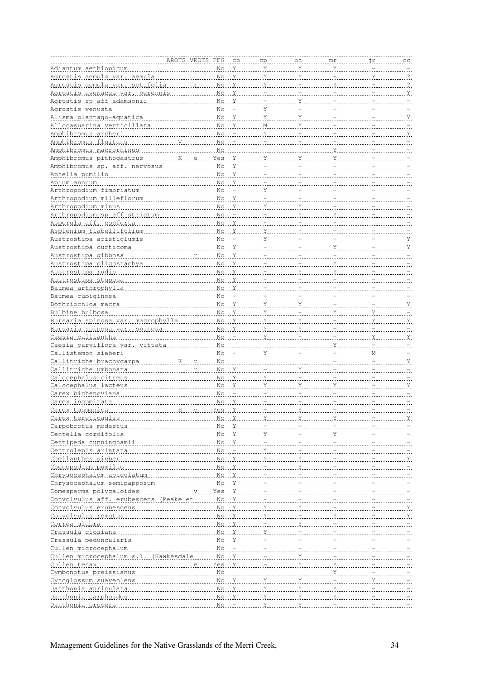| Carex tasmanica |  |  |  |  |  |
|-----------------|--|--|--|--|--|
|                 |  |  |  |  |  |
|                 |  |  |  |  |  |
|                 |  |  |  |  |  |
|                 |  |  |  |  |  |
|                 |  |  |  |  |  |
|                 |  |  |  |  |  |
|                 |  |  |  |  |  |
|                 |  |  |  |  |  |
|                 |  |  |  |  |  |
|                 |  |  |  |  |  |
|                 |  |  |  |  |  |
|                 |  |  |  |  |  |
|                 |  |  |  |  |  |
|                 |  |  |  |  |  |
|                 |  |  |  |  |  |
|                 |  |  |  |  |  |
|                 |  |  |  |  |  |
|                 |  |  |  |  |  |
|                 |  |  |  |  |  |
|                 |  |  |  |  |  |
|                 |  |  |  |  |  |
|                 |  |  |  |  |  |
|                 |  |  |  |  |  |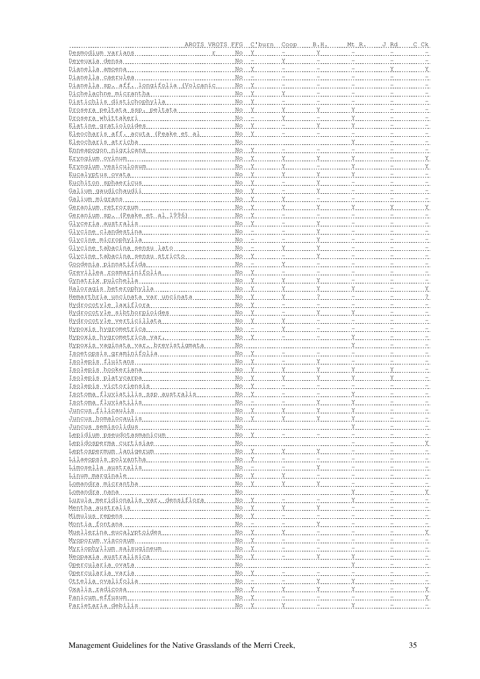| Isotoma fluviatilis |  |  | $N_O$ $  Y$ $Y$ |  |  |
|---------------------|--|--|-----------------|--|--|
|                     |  |  |                 |  |  |
|                     |  |  |                 |  |  |
|                     |  |  |                 |  |  |
|                     |  |  |                 |  |  |
|                     |  |  |                 |  |  |
|                     |  |  |                 |  |  |
|                     |  |  |                 |  |  |
|                     |  |  |                 |  |  |
|                     |  |  |                 |  |  |
|                     |  |  |                 |  |  |
|                     |  |  |                 |  |  |
|                     |  |  |                 |  |  |
|                     |  |  |                 |  |  |
|                     |  |  |                 |  |  |
|                     |  |  |                 |  |  |
|                     |  |  |                 |  |  |
|                     |  |  |                 |  |  |
|                     |  |  |                 |  |  |
|                     |  |  |                 |  |  |
|                     |  |  |                 |  |  |
|                     |  |  |                 |  |  |
|                     |  |  |                 |  |  |
|                     |  |  |                 |  |  |
|                     |  |  |                 |  |  |
|                     |  |  |                 |  |  |
|                     |  |  |                 |  |  |
|                     |  |  |                 |  |  |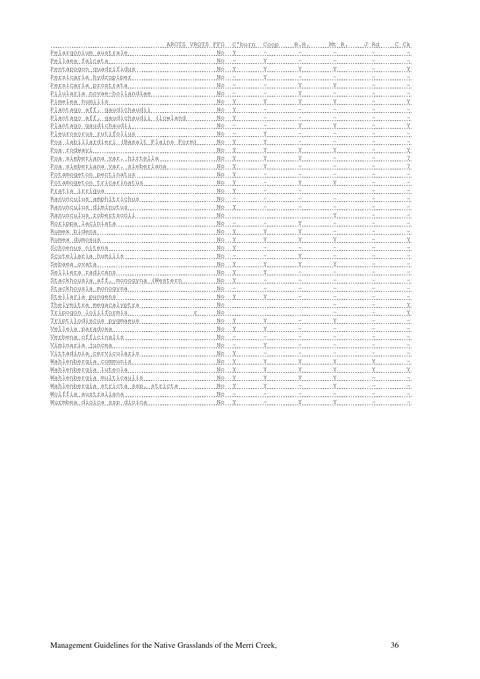| Poa labillardieri (Basalt Plains Form) Mo Y Manuel V Manuel Communication Communication |  |  |  |  |
|-----------------------------------------------------------------------------------------|--|--|--|--|
|                                                                                         |  |  |  |  |
|                                                                                         |  |  |  |  |
|                                                                                         |  |  |  |  |
|                                                                                         |  |  |  |  |
|                                                                                         |  |  |  |  |
|                                                                                         |  |  |  |  |
|                                                                                         |  |  |  |  |
|                                                                                         |  |  |  |  |
|                                                                                         |  |  |  |  |
|                                                                                         |  |  |  |  |
|                                                                                         |  |  |  |  |
|                                                                                         |  |  |  |  |
|                                                                                         |  |  |  |  |
|                                                                                         |  |  |  |  |
|                                                                                         |  |  |  |  |
|                                                                                         |  |  |  |  |
|                                                                                         |  |  |  |  |
|                                                                                         |  |  |  |  |
|                                                                                         |  |  |  |  |
|                                                                                         |  |  |  |  |
|                                                                                         |  |  |  |  |
|                                                                                         |  |  |  |  |
|                                                                                         |  |  |  |  |
|                                                                                         |  |  |  |  |
|                                                                                         |  |  |  |  |
|                                                                                         |  |  |  |  |
|                                                                                         |  |  |  |  |
|                                                                                         |  |  |  |  |
|                                                                                         |  |  |  |  |
|                                                                                         |  |  |  |  |
|                                                                                         |  |  |  |  |
|                                                                                         |  |  |  |  |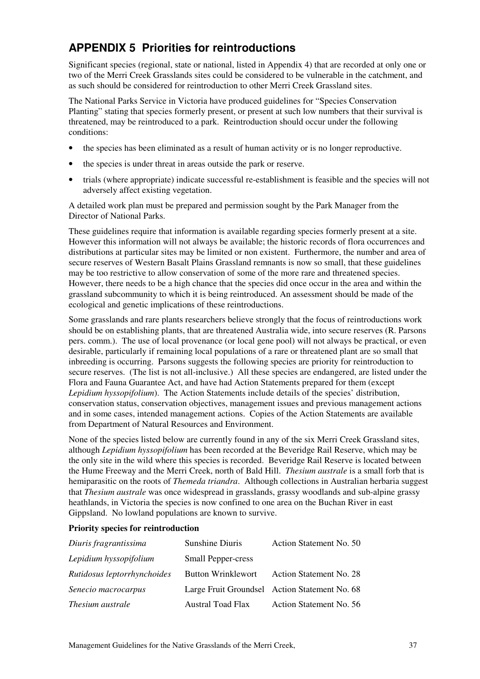# APPENDIX 5 Priorities for reintroductions

Significant species (regional, state or national, listed in Appendix 4) that are recorded at only one or two of the Merri Creek Grasslands sites could be considered to be vulnerable in the catchment, and as such should be considered for reintroduction to other Merri Creek Grassland sites.

The National Parks Service in Victoria have produced guidelines for "Species Conservation Planting" stating that species formerly present, or present at such low numbers that their survival is threatened, may be reintroduced to a park. Reintroduction should occur under the following conditions:

- the species has been eliminated as a result of human activity or is no longer reproductive.
- the species is under threat in areas outside the park or reserve.
- trials (where appropriate) indicate successful re-establishment is feasible and the species will not adversely affect existing vegetation.

A detailed work plan must be prepared and permission sought by the Park Manager from the Director of National Parks.

These guidelines require that information is available regarding species formerly present at a site. However this information will not always be available; the historic records of flora occurrences and distributions at particular sites may be limited or non existent. Furthermore, the number and area of secure reserves of Western Basalt Plains Grassland remnants is now so small, that these guidelines may be too restrictive to allow conservation of some of the more rare and threatened species. However, there needs to be a high chance that the species did once occur in the area and within the grassland subcommunity to which it is being reintroduced. An assessment should be made of the ecological and genetic implications of these reintroductions.

Some grasslands and rare plants researchers believe strongly that the focus of reintroductions work should be on establishing plants, that are threatened Australia wide, into secure reserves (R. Parsons pers. comm.). The use of local provenance (or local gene pool) will not always be practical, or even desirable, particularly if remaining local populations of a rare or threatened plant are so small that inbreeding is occurring. Parsons suggests the following species are priority for reintroduction to secure reserves. (The list is not all-inclusive.) All these species are endangered, are listed under the Flora and Fauna Guarantee Act, and have had Action Statements prepared for them (except Lepidium hyssopifolium). The Action Statements include details of the species' distribution, conservation status, conservation objectives, management issues and previous management actions and in some cases, intended management actions. Copies of the Action Statements are available from Department of Natural Resources and Environment.

None of the species listed below are currently found in any of the six Merri Creek Grassland sites, although Lepidium hyssopifolium has been recorded at the Beveridge Rail Reserve, which may be the only site in the wild where this species is recorded. Beveridge Rail Reserve is located between the Hume Freeway and the Merri Creek, north of Bald Hill. *Thesium australe* is a small forb that is hemiparasitic on the roots of *Themeda triandra*. Although collections in Australian herbaria suggest that Thesium australe was once widespread in grasslands, grassy woodlands and sub-alpine grassy heathlands, in Victoria the species is now confined to one area on the Buchan River in east Gippsland. No lowland populations are known to survive.

#### Priority species for reintroduction

| Diuris fragrantissima       | Sunshine Diuris           | Action Statement No. 50                       |
|-----------------------------|---------------------------|-----------------------------------------------|
| Lepidium hyssopifolium      | <b>Small Pepper-cress</b> |                                               |
| Rutidosus leptorrhynchoides | <b>Button Wrinklewort</b> | <b>Action Statement No. 28</b>                |
| Senecio macrocarpus         |                           | Large Fruit Groundsel Action Statement No. 68 |
| <i>Thesium australe</i>     | <b>Austral Toad Flax</b>  | Action Statement No. 56                       |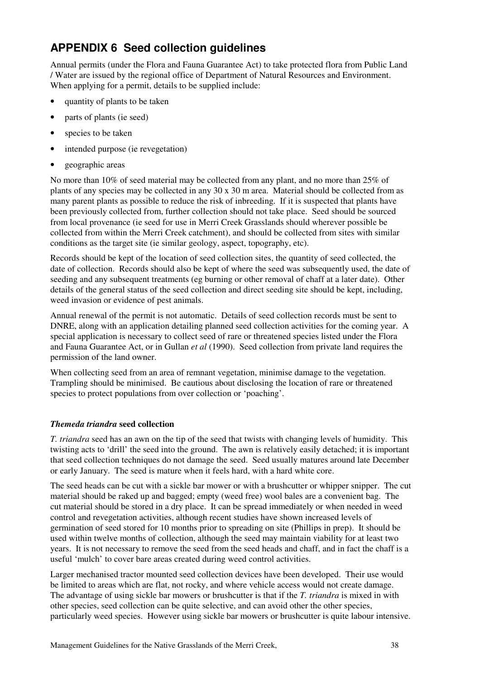# APPENDIX 6 Seed collection guidelines

Annual permits (under the Flora and Fauna Guarantee Act) to take protected flora from Public Land / Water are issued by the regional office of Department of Natural Resources and Environment. When applying for a permit, details to be supplied include:

- quantity of plants to be taken
- parts of plants (ie seed)
- species to be taken
- intended purpose (ie revegetation)
- geographic areas

No more than 10% of seed material may be collected from any plant, and no more than 25% of plants of any species may be collected in any 30 x 30 m area. Material should be collected from as many parent plants as possible to reduce the risk of inbreeding. If it is suspected that plants have been previously collected from, further collection should not take place. Seed should be sourced from local provenance (ie seed for use in Merri Creek Grasslands should wherever possible be collected from within the Merri Creek catchment), and should be collected from sites with similar conditions as the target site (ie similar geology, aspect, topography, etc).

Records should be kept of the location of seed collection sites, the quantity of seed collected, the date of collection. Records should also be kept of where the seed was subsequently used, the date of seeding and any subsequent treatments (eg burning or other removal of chaff at a later date). Other details of the general status of the seed collection and direct seeding site should be kept, including, weed invasion or evidence of pest animals.

Annual renewal of the permit is not automatic. Details of seed collection records must be sent to DNRE, along with an application detailing planned seed collection activities for the coming year. A special application is necessary to collect seed of rare or threatened species listed under the Flora and Fauna Guarantee Act, or in Gullan et al (1990). Seed collection from private land requires the permission of the land owner.

When collecting seed from an area of remnant vegetation, minimise damage to the vegetation. Trampling should be minimised. Be cautious about disclosing the location of rare or threatened species to protect populations from over collection or 'poaching'.

### Themeda triandra seed collection

T. triandra seed has an awn on the tip of the seed that twists with changing levels of humidity. This twisting acts to 'drill' the seed into the ground. The awn is relatively easily detached; it is important that seed collection techniques do not damage the seed. Seed usually matures around late December or early January. The seed is mature when it feels hard, with a hard white core.

The seed heads can be cut with a sickle bar mower or with a brushcutter or whipper snipper. The cut material should be raked up and bagged; empty (weed free) wool bales are a convenient bag. The cut material should be stored in a dry place. It can be spread immediately or when needed in weed control and revegetation activities, although recent studies have shown increased levels of germination of seed stored for 10 months prior to spreading on site (Phillips in prep). It should be used within twelve months of collection, although the seed may maintain viability for at least two years. It is not necessary to remove the seed from the seed heads and chaff, and in fact the chaff is a useful 'mulch' to cover bare areas created during weed control activities.

Larger mechanised tractor mounted seed collection devices have been developed. Their use would be limited to areas which are flat, not rocky, and where vehicle access would not create damage. The advantage of using sickle bar mowers or brushcutter is that if the T. triandra is mixed in with other species, seed collection can be quite selective, and can avoid other the other species, particularly weed species. However using sickle bar mowers or brushcutter is quite labour intensive.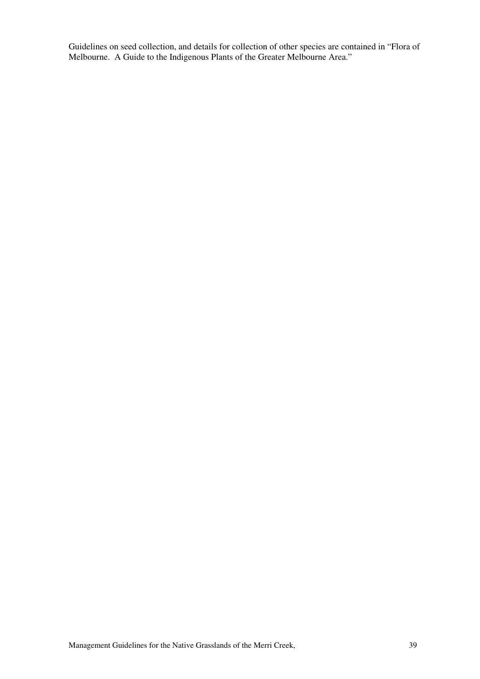Guidelines on seed collection, and details for collection of other species are contained in "Flora of Melbourne. A Guide to the Indigenous Plants of the Greater Melbourne Area."